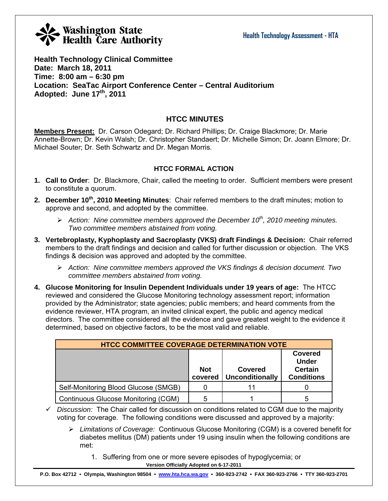# **Washington State**<br>Health Care Authority

**Health Technology Clinical Committee Date: March 18, 2011 Time: 8:00 am – 6:30 pm Location: SeaTac Airport Conference Center – Central Auditorium Adopted: June 17th, 2011** 

# **HTCC MINUTES**

**Members Present:** Dr. Carson Odegard; Dr. Richard Phillips; Dr. Craige Blackmore; Dr. Marie Annette-Brown; Dr. Kevin Walsh; Dr. Christopher Standaert; Dr. Michelle Simon; Dr. Joann Elmore; Dr. Michael Souter; Dr. Seth Schwartz and Dr. Megan Morris.

# **HTCC FORMAL ACTION**

- **1. Call to Order**: Dr. Blackmore, Chair, called the meeting to order. Sufficient members were present to constitute a quorum.
- **2. December 10th, 2010 Meeting Minutes**: Chair referred members to the draft minutes; motion to approve and second, and adopted by the committee.
	- ¾ *Action: Nine committee members approved the December 10th, 2010 meeting minutes. Two committee members abstained from voting.*
- **3. Vertebroplasty, Kyphoplasty and Sacroplasty (VKS) draft Findings & Decision:** Chair referred members to the draft findings and decision and called for further discussion or objection. The VKS findings & decision was approved and adopted by the committee.
	- ¾ *Action: Nine committee members approved the VKS findings & decision document. Two committee members abstained from voting.*
- **4. Glucose Monitoring for Insulin Dependent Individuals under 19 years of age:** The HTCC reviewed and considered the Glucose Monitoring technology assessment report; information provided by the Administrator; state agencies; public members; and heard comments from the evidence reviewer, HTA program, an invited clinical expert, the public and agency medical directors. The committee considered all the evidence and gave greatest weight to the evidence it determined, based on objective factors, to be the most valid and reliable.

| <b>HTCC COMMITTEE COVERAGE DETERMINATION VOTE</b> |                       |                                   |                                                                       |  |  |  |
|---------------------------------------------------|-----------------------|-----------------------------------|-----------------------------------------------------------------------|--|--|--|
|                                                   | <b>Not</b><br>covered | Covered<br><b>Unconditionally</b> | <b>Covered</b><br><b>Under</b><br><b>Certain</b><br><b>Conditions</b> |  |  |  |
| Self-Monitoring Blood Glucose (SMGB)              |                       |                                   |                                                                       |  |  |  |
| Continuous Glucose Monitoring (CGM)               | 5                     |                                   | 5                                                                     |  |  |  |

 $\checkmark$  Discussion: The Chair called for discussion on conditions related to CGM due to the majority voting for coverage. The following conditions were discussed and approved by a majority:

- ¾ *Limitations of Coverage:* Continuous Glucose Monitoring (CGM) is a covered benefit for diabetes mellitus (DM) patients under 19 using insulin when the following conditions are met:
	- **Version Officially Adopted on 6-17-2011**  1. Suffering from one or more severe episodes of hypoglycemia; or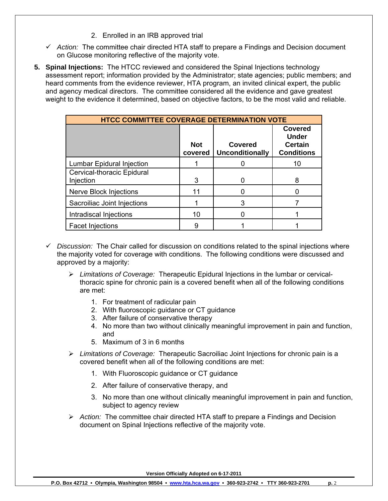- 2. Enrolled in an IRB approved trial
- $\checkmark$  Action: The committee chair directed HTA staff to prepare a Findings and Decision document on Glucose monitoring reflective of the majority vote.
- **5. Spinal Injections:** The HTCC reviewed and considered the Spinal Injections technology assessment report; information provided by the Administrator; state agencies; public members; and heard comments from the evidence reviewer, HTA program, an invited clinical expert, the public and agency medical directors. The committee considered all the evidence and gave greatest weight to the evidence it determined, based on objective factors, to be the most valid and reliable.

| <b>HTCC COMMITTEE COVERAGE DETERMINATION VOTE</b> |                       |                                          |                                                                       |
|---------------------------------------------------|-----------------------|------------------------------------------|-----------------------------------------------------------------------|
|                                                   | <b>Not</b><br>covered | <b>Covered</b><br><b>Unconditionally</b> | <b>Covered</b><br><b>Under</b><br><b>Certain</b><br><b>Conditions</b> |
| Lumbar Epidural Injection                         |                       |                                          | 10                                                                    |
| Cervical-thoracic Epidural<br>Injection           | 3                     | 0                                        | 8                                                                     |
| Nerve Block Injections                            | 11                    |                                          |                                                                       |
| Sacroiliac Joint Injections                       |                       | 3                                        |                                                                       |
| Intradiscal Injections                            | 10                    |                                          |                                                                       |
| <b>Facet Injections</b>                           | 9                     |                                          |                                                                       |

- *Discussion:* The Chair called for discussion on conditions related to the spinal injections where the majority voted for coverage with conditions. The following conditions were discussed and approved by a majority:
	- ¾ *Limitations of Coverage:* Therapeutic Epidural Injections in the lumbar or cervicalthoracic spine for chronic pain is a covered benefit when all of the following conditions are met:
		- 1. For treatment of radicular pain
		- 2. With fluoroscopic guidance or CT guidance
		- 3. After failure of conservative therapy
		- 4. No more than two without clinically meaningful improvement in pain and function, and
		- 5. Maximum of 3 in 6 months
	- ¾ *Limitations of Coverage:* Therapeutic Sacroiliac Joint Injections for chronic pain is a covered benefit when all of the following conditions are met:
		- 1. With Fluoroscopic guidance or CT guidance
		- 2. After failure of conservative therapy, and
		- 3. No more than one without clinically meaningful improvement in pain and function, subject to agency review
	- ¾ *Action:* The committee chair directed HTA staff to prepare a Findings and Decision document on Spinal Injections reflective of the majority vote.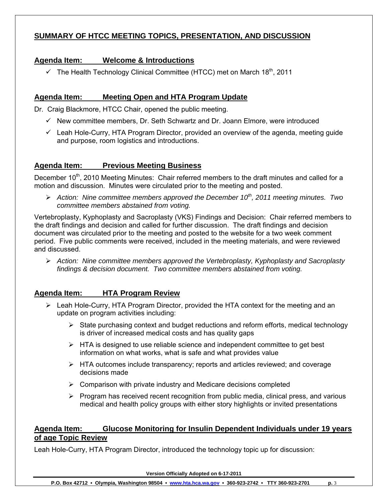# **SUMMARY OF HTCC MEETING TOPICS, PRESENTATION, AND DISCUSSION**

# **Agenda Item: Welcome & Introductions**

 $\checkmark$  The Health Technology Clinical Committee (HTCC) met on March 18<sup>th</sup>, 2011

# **Agenda Item: Meeting Open and HTA Program Update**

Dr. Craig Blackmore, HTCC Chair, opened the public meeting.

- $\checkmark$  New committee members, Dr. Seth Schwartz and Dr. Joann Elmore, were introduced
- $\checkmark$  Leah Hole-Curry, HTA Program Director, provided an overview of the agenda, meeting guide and purpose, room logistics and introductions.

# **Agenda Item: Previous Meeting Business**

December 10<sup>th</sup>, 2010 Meeting Minutes: Chair referred members to the draft minutes and called for a motion and discussion. Minutes were circulated prior to the meeting and posted.

 $\triangleright$  *Action: Nine committee members approved the December 10<sup>th</sup>, 2011 meeting minutes. Two committee members abstained from voting.* 

Vertebroplasty, Kyphoplasty and Sacroplasty (VKS) Findings and Decision: Chair referred members to the draft findings and decision and called for further discussion. The draft findings and decision document was circulated prior to the meeting and posted to the website for a two week comment period. Five public comments were received, included in the meeting materials, and were reviewed and discussed.

¾ *Action: Nine committee members approved the Vertebroplasty, Kyphoplasty and Sacroplasty findings & decision document. Two committee members abstained from voting.*

## **Agenda Item: HTA Program Review**

- $\triangleright$  Leah Hole-Curry, HTA Program Director, provided the HTA context for the meeting and an update on program activities including:
	- $\triangleright$  State purchasing context and budget reductions and reform efforts, medical technology is driver of increased medical costs and has quality gaps
	- $\triangleright$  HTA is designed to use reliable science and independent committee to get best information on what works, what is safe and what provides value
	- ¾ HTA outcomes include transparency; reports and articles reviewed; and coverage decisions made
	- $\triangleright$  Comparison with private industry and Medicare decisions completed
	- $\triangleright$  Program has received recent recognition from public media, clinical press, and various medical and health policy groups with either story highlights or invited presentations

## **Agenda Item: Glucose Monitoring for Insulin Dependent Individuals under 19 years of age Topic Review**

Leah Hole-Curry, HTA Program Director, introduced the technology topic up for discussion: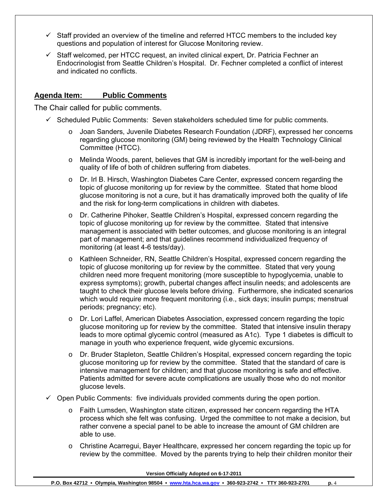- $\checkmark$  Staff provided an overview of the timeline and referred HTCC members to the included key questions and population of interest for Glucose Monitoring review.
- $\checkmark$  Staff welcomed, per HTCC request, an invited clinical expert, Dr. Patricia Fechner an Endocrinologist from Seattle Children's Hospital. Dr. Fechner completed a conflict of interest and indicated no conflicts.

# **Agenda Item: Public Comments**

The Chair called for public comments.

- $\checkmark$  Scheduled Public Comments: Seven stakeholders scheduled time for public comments.
	- o Joan Sanders, Juvenile Diabetes Research Foundation (JDRF), expressed her concerns regarding glucose monitoring (GM) being reviewed by the Health Technology Clinical Committee (HTCC).
	- o Melinda Woods, parent, believes that GM is incredibly important for the well-being and quality of life of both of children suffering from diabetes.
	- o Dr. Irl B. Hirsch, Washington Diabetes Care Center, expressed concern regarding the topic of glucose monitoring up for review by the committee. Stated that home blood glucose monitoring is not a cure, but it has dramatically improved both the quality of life and the risk for long-term complications in children with diabetes.
	- o Dr. Catherine Pihoker, Seattle Children's Hospital, expressed concern regarding the topic of glucose monitoring up for review by the committee. Stated that intensive management is associated with better outcomes, and glucose monitoring is an integral part of management; and that guidelines recommend individualized frequency of monitoring (at least 4-6 tests/day).
	- o Kathleen Schneider, RN, Seattle Children's Hospital, expressed concern regarding the topic of glucose monitoring up for review by the committee. Stated that very young children need more frequent monitoring (more susceptible to hypoglycemia, unable to express symptoms); growth, pubertal changes affect insulin needs; and adolescents are taught to check their glucose levels before driving. Furthermore, she indicated scenarios which would require more frequent monitoring (i.e., sick days; insulin pumps; menstrual periods; pregnancy; etc).
	- o Dr. Lori Laffel, American Diabetes Association, expressed concern regarding the topic glucose monitoring up for review by the committee. Stated that intensive insulin therapy leads to more optimal glycemic control (measured as A1c). Type 1 diabetes is difficult to manage in youth who experience frequent, wide glycemic excursions.
	- o Dr. Bruder Stapleton, Seattle Children's Hospital, expressed concern regarding the topic glucose monitoring up for review by the committee. Stated that the standard of care is intensive management for children; and that glucose monitoring is safe and effective. Patients admitted for severe acute complications are usually those who do not monitor glucose levels.
- $\checkmark$  Open Public Comments: five individuals provided comments during the open portion.
	- $\circ$  Faith Lumsden, Washington state citizen, expressed her concern regarding the HTA process which she felt was confusing. Urged the committee to not make a decision, but rather convene a special panel to be able to increase the amount of GM children are able to use.
	- o Christine Acarregui, Bayer Healthcare, expressed her concern regarding the topic up for review by the committee. Moved by the parents trying to help their children monitor their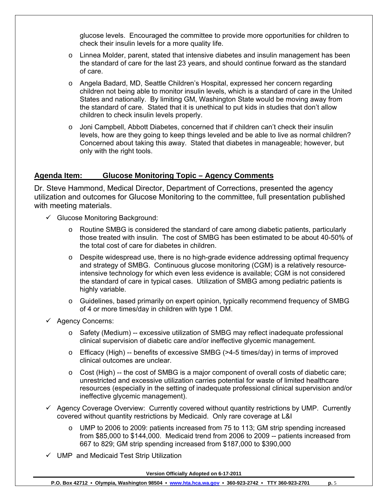glucose levels. Encouraged the committee to provide more opportunities for children to check their insulin levels for a more quality life.

- o Linnea Molder, parent, stated that intensive diabetes and insulin management has been the standard of care for the last 23 years, and should continue forward as the standard of care.
- o Angela Badard, MD, Seattle Children's Hospital, expressed her concern regarding children not being able to monitor insulin levels, which is a standard of care in the United States and nationally. By limiting GM, Washington State would be moving away from the standard of care. Stated that it is unethical to put kids in studies that don't allow children to check insulin levels properly.
- $\circ$  Joni Campbell, Abbott Diabetes, concerned that if children can't check their insulin levels, how are they going to keep things leveled and be able to live as normal children? Concerned about taking this away. Stated that diabetes in manageable; however, but only with the right tools.

## **Agenda Item: Glucose Monitoring Topic – Agency Comments**

Dr. Steve Hammond, Medical Director, Department of Corrections, presented the agency utilization and outcomes for Glucose Monitoring to the committee, full presentation published with meeting materials.

- $\checkmark$  Glucose Monitoring Background:
	- o Routine SMBG is considered the standard of care among diabetic patients, particularly those treated with insulin. The cost of SMBG has been estimated to be about 40-50% of the total cost of care for diabetes in children.
	- $\circ$  Despite widespread use, there is no high-grade evidence addressing optimal frequency and strategy of SMBG. Continuous glucose monitoring (CGM) is a relatively resourceintensive technology for which even less evidence is available; CGM is not considered the standard of care in typical cases. Utilization of SMBG among pediatric patients is highly variable.
	- o Guidelines, based primarily on expert opinion, typically recommend frequency of SMBG of 4 or more times/day in children with type 1 DM.
- $\checkmark$  Agency Concerns:
	- $\circ$  Safety (Medium) -- excessive utilization of SMBG may reflect inadequate professional clinical supervision of diabetic care and/or ineffective glycemic management.
	- $\circ$  Efficacy (High) -- benefits of excessive SMBG (>4-5 times/day) in terms of improved clinical outcomes are unclear.
	- o Cost (High) -- the cost of SMBG is a major component of overall costs of diabetic care; unrestricted and excessive utilization carries potential for waste of limited healthcare resources (especially in the setting of inadequate professional clinical supervision and/or ineffective glycemic management).
- $\checkmark$  Agency Coverage Overview: Currently covered without quantity restrictions by UMP. Currently covered without quantity restrictions by Medicaid. Only rare coverage at L&I
	- o UMP to 2006 to 2009: patients increased from 75 to 113; GM strip spending increased from \$85,000 to \$144,000. Medicaid trend from 2006 to 2009 -- patients increased from 667 to 829; GM strip spending increased from \$187,000 to \$390,000
- $\checkmark$  UMP and Medicaid Test Strip Utilization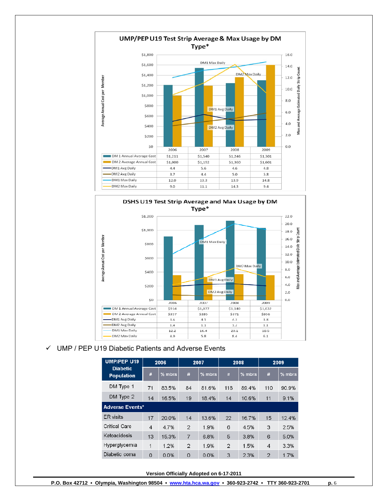



#### $\checkmark$  UMP / PEP U19 Diabetic Patients and Adverse Events

| <b>UMP/PEP U19</b>                   |                        | 2006     | 2007           |          | 2008           |          | 2009                    |        |  |
|--------------------------------------|------------------------|----------|----------------|----------|----------------|----------|-------------------------|--------|--|
| <b>Diabetic</b><br><b>Population</b> | #                      | $%$ mbrs | #              | $%$ mbrs | #              | $%$ mbrs | #                       | % mbrs |  |
| DM Type 1                            | 71                     | 83.5%    | 84             | 81.6%    | 118            | 89.4%    | 110                     | 90.9%  |  |
| DM Type 2                            | 14                     | 16.5%    | 19             | 18.4%    | 14             | 10.6%    | 11                      | 9.1%   |  |
|                                      | <b>Adverse Events*</b> |          |                |          |                |          |                         |        |  |
| <b>ER</b> visits                     | 17                     | 20.0%    | 14             | 13.6%    | 22             | 16.7%    | 15                      | 12.4%  |  |
| <b>Critical Care</b>                 | $\overline{4}$         | 4.7%     | $\mathcal{L}$  | 1.9%     | 6              | 4.5%     | 3                       | 2.5%   |  |
| Keloacidosis                         | 13                     | 15.3%    | $\overline{7}$ | 6.8%     | 5              | 3.8%     | 6                       | 5.0%   |  |
| Hyperglycemia                        | 1                      | 1.2%     | $\overline{2}$ | 1.9%     | $\overline{2}$ | 1.5%     | $\overline{\mathbf{4}}$ | 3.3%   |  |
| Diabetic coma                        | $\Omega$               | 0.0%     | $\circ$        | 0.0%     | 3              | 2.3%     | $\mathfrak{p}$          | 1.7%   |  |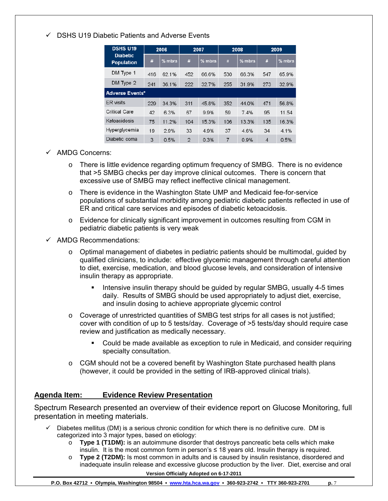## $\checkmark$  DSHS U19 Diabetic Patients and Adverse Events

| <b>DSHS U19</b><br>2006              |     |          | 2007           |          | 2008 |          | 2009           |          |
|--------------------------------------|-----|----------|----------------|----------|------|----------|----------------|----------|
| <b>Diabetic</b><br><b>Population</b> | #   | $%$ mbrs | #              | $%$ mbrs | #    | $%$ mbrs | #              | $%$ mbrs |
| DM Type 1                            | 416 | 62.1%    | 452            | 66.6%    | 530  | 66.3%    | 547            | 65.9%    |
| DM Type 2                            | 241 | 36.1%    | 222            | 32.7%    | 255  | 31.9%    | 273            | 32.9%    |
| <b>Adverse Events*</b>               |     |          |                |          |      |          |                |          |
| <b>ER</b> visits                     | 229 | 34.3%    | 311            | 45.8%    | 352  | 44.0%    | 471            | 56.8%    |
| <b>Critical Care</b>                 | 42  | 63%      | 67             | 9.9%     | 59   | 74%      | 95             | 11.54    |
| Ketoacidosis                         | 75  | 11.2%    | 104            | 15.3%    | 106  | 13.3%    | 135            | 16.3%    |
| Hyperglycemia                        | 19  | 2.9%     | 33             | 4.9%     | 37   | 4.6%     | 34             | 4.1%     |
| Diabetic coma                        | 3   | 0.5%     | $\mathfrak{D}$ | 0.3%     | 7    | 0.9%     | $\overline{4}$ | 0.5%     |

- $\checkmark$  AMDG Concerns:
	- $\circ$  There is little evidence regarding optimum frequency of SMBG. There is no evidence that >5 SMBG checks per day improve clinical outcomes. There is concern that excessive use of SMBG may reflect ineffective clinical management.
	- o There is evidence in the Washington State UMP and Medicaid fee-for-service populations of substantial morbidity among pediatric diabetic patients reflected in use of ER and critical care services and episodes of diabetic ketoacidosis.
	- o Evidence for clinically significant improvement in outcomes resulting from CGM in pediatric diabetic patients is very weak
- $\checkmark$  AMDG Recommendations:
	- $\circ$  Optimal management of diabetes in pediatric patients should be multimodal, guided by qualified clinicians, to include: effective glycemic management through careful attention to diet, exercise, medication, and blood glucose levels, and consideration of intensive insulin therapy as appropriate.
		- Intensive insulin therapy should be guided by regular SMBG, usually 4-5 times daily. Results of SMBG should be used appropriately to adjust diet, exercise, and insulin dosing to achieve appropriate glycemic control
	- $\circ$  Coverage of unrestricted quantities of SMBG test strips for all cases is not justified; cover with condition of up to 5 tests/day. Coverage of >5 tests/day should require case review and justification as medically necessary.
		- Could be made available as exception to rule in Medicaid, and consider requiring specialty consultation.
	- $\circ$  CGM should not be a covered benefit by Washington State purchased health plans (however, it could be provided in the setting of IRB-approved clinical trials).

## **Agenda Item: Evidence Review Presentation**

Spectrum Research presented an overview of their evidence report on Glucose Monitoring, full presentation in meeting materials.

- Diabetes mellitus (DM) is a serious chronic condition for which there is no definitive cure. DM is categorized into 3 major types, based on etiology:
	- o **Type 1 (T1DM):** is an autoimmune disorder that destroys pancreatic beta cells which make insulin. It is the most common form in person's ≤ 18 years old. Insulin therapy is required.
	- **Version Officially Adopted on 6-17-2011**  o **Type 2 (T2DM):** Is most common in adults and is caused by insulin resistance, disordered and inadequate insulin release and excessive glucose production by the liver. Diet, exercise and oral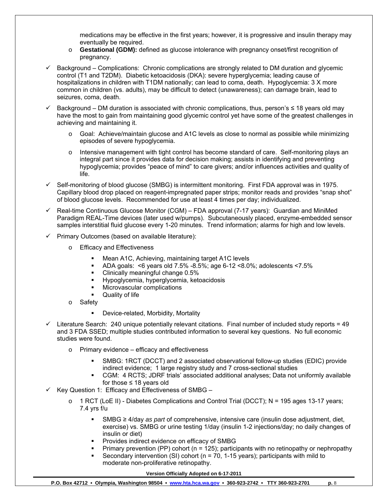medications may be effective in the first years; however, it is progressive and insulin therapy may eventually be required.

- o **Gestational (GDM):** defined as glucose intolerance with pregnancy onset/first recognition of pregnancy.
- $\checkmark$  Background Complications: Chronic complications are strongly related to DM duration and glycemic control (T1 and T2DM). Diabetic ketoacidosis (DKA): severe hyperglycemia; leading cause of hospitalizations in children with T1DM nationally; can lead to coma, death. Hypoglycemia: 3 X more common in children (vs. adults), may be difficult to detect (unawareness); can damage brain, lead to seizures, coma, death.
- $\checkmark$  Background DM duration is associated with chronic complications, thus, person's ≤ 18 years old may have the most to gain from maintaining good glycemic control yet have some of the greatest challenges in achieving and maintaining it.
	- o Goal: Achieve/maintain glucose and A1C levels as close to normal as possible while minimizing episodes of severe hypoglycemia.
	- $\circ$  Intensive management with tight control has become standard of care. Self-monitoring plays an integral part since it provides data for decision making; assists in identifying and preventing hypoglycemia; provides "peace of mind" to care givers; and/or influences activities and quality of life.
- $\checkmark$  Self-monitoring of blood glucose (SMBG) is intermittent monitoring. First FDA approval was in 1975. Capillary blood drop placed on reagent-impregnated paper strips; monitor reads and provides "snap shot" of blood glucose levels. Recommended for use at least 4 times per day; individualized.
- $\checkmark$  Real-time Continuous Glucose Monitor (CGM) FDA approval (7-17 years): Guardian and MiniMed Paradigm REAL-Time devices (later used w/pumps). Subcutaneously placed, enzyme-embedded sensor samples interstitial fluid glucose every 1-20 minutes. Trend information; alarms for high and low levels.
- $\checkmark$  Primary Outcomes (based on available literature):
	- o Efficacy and Effectiveness
		- **Mean A1C, Achieving, maintaining target A1C levels**
		- ADA goals: <6 years old 7.5% -8.5%; age 6-12 <8.0%; adolescents <7.5%
		- Clinically meaningful change 0.5%<br>■ Hypoglycemia hyperglycemia keto
		- Hypoglycemia, hyperglycemia, ketoacidosis
		- Microvascular complications
		- Quality of life
	- o Safety
		- **-** Device-related, Morbidity, Mortality
- $\checkmark$  Literature Search: 240 unique potentially relevant citations. Final number of included study reports = 49 and 3 FDA SSED; multiple studies contributed information to several key questions. No full economic studies were found.
	- o Primary evidence efficacy and effectiveness
		- SMBG: 1RCT (DCCT) and 2 associated observational follow-up studies (EDIC) provide indirect evidence; 1 large registry study and 7 cross-sectional studies
		- CGM: 4 RCTS; JDRF trials' associated additional analyses; Data not uniformly available for those  $\leq 18$  years old
- $\checkmark$  Key Question 1: Efficacy and Effectiveness of SMBG
	- $\circ$  1 RCT (LoE II) Diabetes Complications and Control Trial (DCCT); N = 195 ages 13-17 years; 7.4 yrs f/u
		- SMBG ≥ 4/day *as part* of comprehensive, intensive care (insulin dose adjustment, diet, exercise) vs. SMBG or urine testing 1/day (insulin 1-2 injections/day; no daily changes of insulin or diet)
		- Provides indirect evidence on efficacy of SMBG
		- Primary prevention (PP) cohort ( $n = 125$ ); participants with no retinopathy or nephropathy
		- Secondary intervention (SI) cohort ( $n = 70$ , 1-15 years); participants with mild to moderate non-proliferative retinopathy.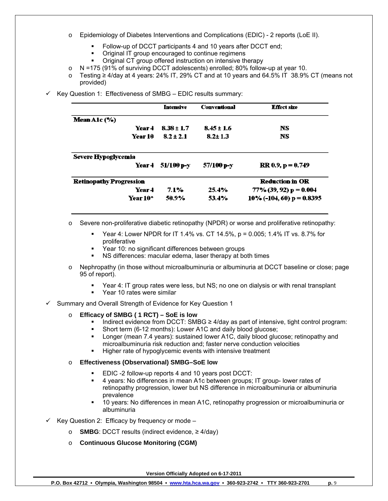- o Epidemiology of Diabetes Interventions and Complications (EDIC) 2 reports (LoE II).
	- Follow-up of DCCT participants 4 and 10 years after DCCT end;
	- Original IT group encouraged to continue regimens
	- Original CT group offered instruction on intensive therapy
- $\circ$  N =175 (91% of surviving DCCT adolescents) enrolled; 80% follow-up at year 10.
- o Testing ≥ 4/day at 4 years: 24% IT, 29% CT and at 10 years and 64.5% IT 38.9% CT (means not provided)
- 9 Key Question 1: Effectiveness of SMBG EDIC results summary:

|                                | <b>Intensive</b> | <b>Conventional</b> | <b>Effect size</b>           |
|--------------------------------|------------------|---------------------|------------------------------|
| Mean A1c (%)                   |                  |                     |                              |
| Year 4                         | $8.38 \pm 1.7$   | $8.45 \pm 1.6$      | NS.                          |
| Year 10                        | $8.2 \pm 2.1$    | $8.2 \pm 1.3$       | <b>NS</b>                    |
| Severe Hypoglycemia            |                  |                     |                              |
| Year 4                         | 51/100 p-v       | 57/100 р-у          | $RR 0.9, p = 0.749$          |
| <b>Retinopathy Progression</b> |                  |                     | <b>Reduction in OR</b>       |
| Vear 4                         | $7.1\%$          | 25.4%               | $77\%$ (39, 92) p = 0.004    |
| Year 10*                       | 50.9%            | 53.4%               | $10\%$ (-104, 60) p = 0.8395 |

- $\circ$  Severe non-proliferative diabetic retinopathy (NPDR) or worse and proliferative retinopathy:
	- Year 4: Lower NPDR for IT 1.4% vs. CT 14.5%, p = 0.005; 1.4% IT vs. 8.7% for proliferative
	- Year 10: no significant differences between groups
	- NS differences: macular edema, laser therapy at both times
- o Nephropathy (in those without microalbuminuria or albuminuria at DCCT baseline or close; page 95 of report).
	- Year 4: IT group rates were less, but NS; no one on dialysis or with renal transplant
	- **•** Year 10 rates were similar
- $\checkmark$  Summary and Overall Strength of Evidence for Key Question 1

#### o **Efficacy of SMBG ( 1 RCT) – SoE is low**

- Indirect evidence from DCCT: SMBG  $\geq$  4/day as part of intensive, tight control program:
- Short term (6-12 months): Lower A1C and daily blood glucose;
- Longer (mean 7.4 years): sustained lower A1C, daily blood glucose; retinopathy and microalbuminuria risk reduction and; faster nerve conduction velocities
- Higher rate of hypoglycemic events with intensive treatment

#### o **Effectiveness (Observational) SMBG–SoE low**

- EDIC -2 follow-up reports 4 and 10 years post DCCT:
- 4 years: No differences in mean A1c between groups; IT group- lower rates of retinopathy progression, lower but NS difference in microalbuminuria or albuminuria prevalence
- 10 years: No differences in mean A1C, retinopathy progression or microalbuminuria or albuminuria
- $\checkmark$  Key Question 2: Efficacy by frequency or mode
	- o **SMBG**: DCCT results (indirect evidence, ≥ 4/day)
	- o **Continuous Glucose Monitoring (CGM)**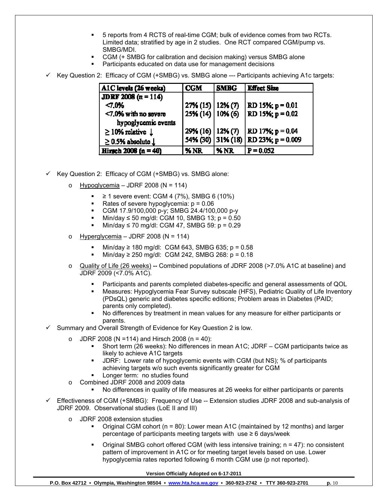- 5 reports from 4 RCTS of real-time CGM; bulk of evidence comes from two RCTs. Limited data; stratified by age in 2 studies. One RCT compared CGM/pump vs. SMBG/MDI.
- CGM (+ SMBG for calibration and decision making) versus SMBG alone
- Participants educated on data use for management decisions
- $\checkmark$  Key Question 2: Efficacy of CGM (+SMBG) vs. SMBG alone --- Participants achieving A1c targets:

| A1C levels (26 weeks)            | <b>CGM</b>            | <b>SMBG</b>       | <b>Effect Size</b>    |
|----------------------------------|-----------------------|-------------------|-----------------------|
| <b>JDRF 2008</b> $(n = 114)$     |                       |                   |                       |
| < 7.0%                           | $27\%$ (15)   12% (7) |                   | RD 15%; $p = 0.01$    |
| $<7.0\%$ with no severe          | $25\% (14) 10\% (6)$  |                   | $RD$ 15%; $p = 0.02$  |
| hypoglycemic events              |                       |                   |                       |
| $\geq$ 10% relative $\downarrow$ | $29\%$ (16)   12% (7) |                   | RD 17%; $p = 0.04$    |
| $\geq$ 0.5% absolute $\perp$     |                       | 54% (30) 31% (18) | $ $ RD 23%; p = 0.009 |
| Hirsch 2008 ( $n = 40$ )         | $M_{\rm N}$           | <b>1% NR</b>      | $P = 0.052$           |

- $\checkmark$  Key Question 2: Efficacy of CGM (+SMBG) vs. SMBG alone:
	- o Hypoglycemia JDRF 2008 (N = 114)
		- ≥ 1 severe event: CGM 4 (7%), SMBG 6 (10%)
		- Rates of severe hypoglycemia:  $p = 0.06$
		- CGM 17.9/100,000 p-y; SMBG 24.4/100,000 p-y
		- $Mini/day \le 50$  mg/dl: CGM 10, SMBG 13; p = 0.50
		- Min/day ≤ 70 mg/dl: CGM 47, SMBG 59: p = 0.29
	- o Hyperglycemia JDRF 2008 (N = 114)
		- Min/day ≥ 180 mg/dl: CGM 643, SMBG 635; p =  $0.58$
		- Min/day ≥ 250 mg/dl: CGM 242, SMBG 268: p = 0.18
	- o Quality of Life (26 weeks) **--** Combined populations of JDRF 2008 (>7.0% A1C at baseline) and JDRF 2009 (<7.0% A1C).
		- Participants and parents completed diabetes-specific and general assessments of QOL
		- Measures: Hypoglycemia Fear Survey subscale (HFS), Pediatric Quality of Life Inventory (PDsQL) generic and diabetes specific editions; Problem areas in Diabetes (PAID; parents only completed).
		- No differences by treatment in mean values for any measure for either participants or parents.
- $\checkmark$  Summary and Overall Strength of Evidence for Key Question 2 is low.
	- $\circ$  JDRF 2008 (N = 114) and Hirsch 2008 (n = 40):
		- Short term (26 weeks): No differences in mean A1C; JDRF CGM participants twice as likely to achieve A1C targets
		- JDRF: Lower rate of hypoglycemic events with CGM (but NS); % of participants achieving targets w/o such events significantly greater for CGM
		- Longer term: no studies found
	- o Combined JDRF 2008 and 2009 data
		- No differences in quality of life measures at 26 weeks for either participants or parents
- $\checkmark$  Effectiveness of CGM (+SMBG): Frequency of Use -- Extension studies JDRF 2008 and sub-analysis of JDRF 2009. Observational studies (LoE II and III)
	- JDRF 2008 extension studies
		- Original CGM cohort (n = 80): Lower mean A1C (maintained by 12 months) and larger percentage of participants meeting targets with use  $\geq 6$  days/week
		- Original SMBG cohort offered CGM (with less intensive training; n = 47): no consistent pattern of improvement in A1C or for meeting target levels based on use. Lower hypoglycemia rates reported following 6 month CGM use (p not reported).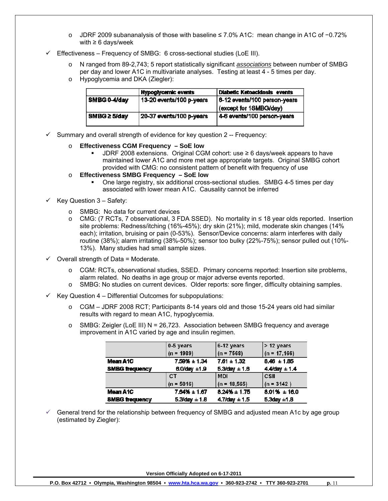- o JDRF 2009 subananalysis of those with baseline ≤ 7.0% A1C: mean change in A1C of −0.72% with  $\geq 6$  days/week
- $\checkmark$  Effectiveness Frequency of SMBG: 6 cross-sectional studies (LoE III).
	- o N ranged from 89-2,743; 5 report statistically significant *associations* between number of SMBG per day and lower A1C in multivariate analyses. Testing at least 4 - 5 times per day.
	- o Hypoglycemia and DKA (Ziegler):

|              | <b>Hypoglycemic events</b> | Diabetic Ketoacidosis events |
|--------------|----------------------------|------------------------------|
| SMBG 0-4/day | 13-20 events/100 p-years   | 6-12 events/100 person-years |
|              |                            | (except for 1SMBG/day)       |
| SMBG ≥ 5/dav | 20-37 events/100 p-years   | 4-6 events/100 person-years  |
|              |                            |                              |

- $\checkmark$  Summary and overall strength of evidence for key question 2 -- Frequency:
	- o **Effectiveness CGM Frequency SoE low**
		- JDRF 2008 extensions. Original CGM cohort: use ≥ 6 days/week appears to have maintained lower A1C and more met age appropriate targets. Original SMBG cohort provided with CMG: no consistent pattern of benefit with frequency of use
	- o **Effectiveness SMBG Frequency SoE low**
		- One large registry, six additional cross-sectional studies. SMBG 4-5 times per day associated with lower mean A1C. Causality cannot be inferred
- $\checkmark$  Key Question 3 Safety:
	- o SMBG: No data for current devices
	- o CMG: (7 RCTs, 7 observational, 3 FDA SSED). No mortality in ≤ 18 year olds reported. Insertion site problems: Redness/itching (16%-45%); dry skin (21%); mild, moderate skin changes (14% each); irritation, bruising or pain (0-53%). Sensor/Device concerns: alarm interferes with daily routine (38%); alarm irritating (38%-50%); sensor too bulky (22%-75%); sensor pulled out (10%- 13%). Many studies had small sample sizes.
- $\checkmark$  Overall strength of Data = Moderate.
	- o CGM: RCTs, observational studies, SSED. Primary concerns reported: Insertion site problems, alarm related. No deaths in age group or major adverse events reported.
	- o SMBG: No studies on current devices. Older reports: sore finger, difficulty obtaining samples.
- 9 Key Question 4 Differential Outcomes for subpopulations:
	- o CGM JDRF 2008 RCT; Participants 8-14 years old and those 15-24 years old had similar results with regard to mean A1C, hypoglycemia.
	- $\circ$  SMBG: Zeigler (LoE III) N = 26,723. Association between SMBG frequency and average improvement in A1C varied by age and insulin regimen.

|                       | 0-5 years            | 6-12 years           | > 12 years           |
|-----------------------|----------------------|----------------------|----------------------|
|                       | $(n = 1989)$         | $(n = 7568)$         | $(n = 17, 166)$      |
| Mean A1C              | 7.59% ± 1.34         | $7.61 \pm 1.32$      | $8.46 \pm 1.85$      |
| <b>SMBG trequency</b> | $6.0$ /day $±1.9$    | $5.3$ /day $\pm 1.6$ | $4.4$ /day $\pm 1.4$ |
|                       | CТ                   | <b>MDI</b>           | <b>CSII</b>          |
|                       | $(n = 5016)$         | $(n = 18, 565)$      | $(n = 3142)$         |
| Mean A1C              | $7.64\% \pm 1.67$    | $8.24\% \pm 1.75$    | $8.01\% + 16.0$      |
| <b>SMBG trequency</b> | $5.3$ /day $\pm 1.8$ | $4.7$ /day $\pm 1.5$ | $5.3$ day $\pm 1.8$  |

9 General trend for the relationship between frequency of SMBG and adjusted mean A1c by age group (estimated by Ziegler):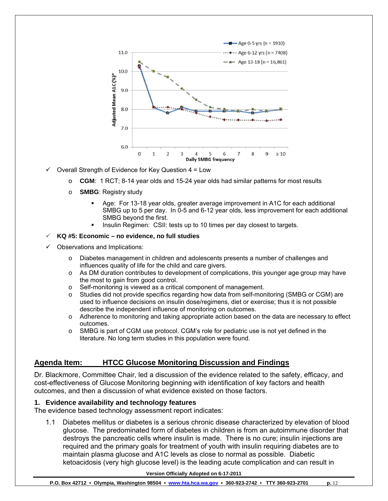

 $\checkmark$  Overall Strength of Evidence for Key Question 4 = Low

- o **CGM**: 1 RCT; 8-14 year olds and 15-24 year olds had similar patterns for most results
- o **SMBG**: Registry study
	- Age: For 13-18 year olds, greater average improvement in A1C for each additional SMBG up to 5 per day. In 0-5 and 6-12 year olds, less improvement for each additional SMBG beyond the first.
	- Insulin Regimen: CSII: tests up to 10 times per day closest to targets.

#### 9 **KQ #5: Economic – no evidence, no full studies**

- Observations and Implications:
	- o Diabetes management in children and adolescents presents a number of challenges and influences quality of life for the child and care givers.
	- $\circ$  As DM duration contributes to development of complications, this younger age group may have the most to gain from good control.
	- o Self-monitoring is viewed as a critical component of management.
	- o Studies did not provide specifics regarding how data from self-monitoring (SMBG or CGM) are used to influence decisions on insulin dose/regimens, diet or exercise; thus it is not possible describe the independent influence of monitoring on outcomes.
	- o Adherence to monitoring and taking appropriate action based on the data are necessary to effect outcomes.
	- o SMBG is part of CGM use protocol. CGM's role for pediatric use is not yet defined in the literature. No long term studies in this population were found.

## **Agenda Item: HTCC Glucose Monitoring Discussion and Findings**

Dr. Blackmore, Committee Chair, led a discussion of the evidence related to the safety, efficacy, and cost-effectiveness of Glucose Monitoring beginning with identification of key factors and health outcomes, and then a discussion of what evidence existed on those factors.

#### **1. Evidence availability and technology features**

The evidence based technology assessment report indicates:

1.1 Diabetes mellitus or diabetes is a serious chronic disease characterized by elevation of blood glucose. The predominated form of diabetes in children is from an autoimmune disorder that destroys the pancreatic cells where insulin is made. There is no cure; insulin injections are required and the primary goals for treatment of youth with insulin requiring diabetes are to maintain plasma glucose and A1C levels as close to normal as possible. Diabetic ketoacidosis (very high glucose level) is the leading acute complication and can result in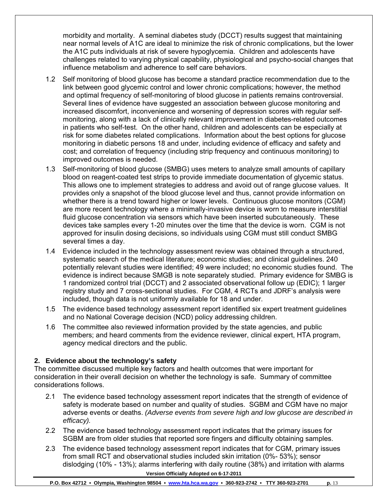morbidity and mortality. A seminal diabetes study (DCCT) results suggest that maintaining near normal levels of A1C are ideal to minimize the risk of chronic complications, but the lower the A1C puts individuals at risk of severe hypoglycemia. Children and adolescents have challenges related to varying physical capability, physiological and psycho-social changes that influence metabolism and adherence to self care behaviors.

- 1.2 Self monitoring of blood glucose has become a standard practice recommendation due to the link between good glycemic control and lower chronic complications; however, the method and optimal frequency of self-monitoring of blood glucose in patients remains controversial. Several lines of evidence have suggested an association between glucose monitoring and increased discomfort, inconvenience and worsening of depression scores with regular selfmonitoring, along with a lack of clinically relevant improvement in diabetes-related outcomes in patients who self-test. On the other hand, children and adolescents can be especially at risk for some diabetes related complications. Information about the best options for glucose monitoring in diabetic persons 18 and under, including evidence of efficacy and safety and cost; and correlation of frequency (including strip frequency and continuous monitoring) to improved outcomes is needed.
- 1.3 Self-monitoring of blood glucose (SMBG) uses meters to analyze small amounts of capillary blood on reagent-coated test strips to provide immediate documentation of glycemic status. This allows one to implement strategies to address and avoid out of range glucose values. It provides only a snapshot of the blood glucose level and thus, cannot provide information on whether there is a trend toward higher or lower levels. Continuous glucose monitors (CGM) are more recent technology where a minimally-invasive device is worn to measure interstitial fluid glucose concentration via sensors which have been inserted subcutaneously. These devices take samples every 1-20 minutes over the time that the device is worn. CGM is not approved for insulin dosing decisions, so individuals using CGM must still conduct SMBG several times a day.
- 1.4 Evidence included in the technology assessment review was obtained through a structured, systematic search of the medical literature; economic studies; and clinical guidelines. 240 potentially relevant studies were identified; 49 were included; no economic studies found. The evidence is indirect because SMGB is note separately studied. Primary evidence for SMBG is 1 randomized control trial (DCCT) and 2 associated observational follow up (EDIC); 1 larger registry study and 7 cross-sectional studies. For CGM, 4 RCTs and JDRF's analysis were included, though data is not uniformly available for 18 and under.
- 1.5 The evidence based technology assessment report identified six expert treatment guidelines and no National Coverage decision (NCD) policy addressing children.
- 1.6 The committee also reviewed information provided by the state agencies, and public members; and heard comments from the evidence reviewer, clinical expert, HTA program, agency medical directors and the public.

## **2. Evidence about the technology's safety**

The committee discussed multiple key factors and health outcomes that were important for consideration in their overall decision on whether the technology is safe. Summary of committee considerations follows.

- 2.1 The evidence based technology assessment report indicates that the strength of evidence of safety is moderate based on number and quality of studies. SGBM and CGM have no major adverse events or deaths. *(Adverse events from severe high and low glucose are described in efficacy).*
- 2.2 The evidence based technology assessment report indicates that the primary issues for SGBM are from older studies that reported sore fingers and difficulty obtaining samples.
- **Version Officially Adopted on 6-17-2011**  2.3 The evidence based technology assessment report indicates that for CGM, primary issues from small RCT and observational studies included skin irritation (0%- 53%); sensor dislodging (10% - 13%); alarms interfering with daily routine (38%) and irritation with alarms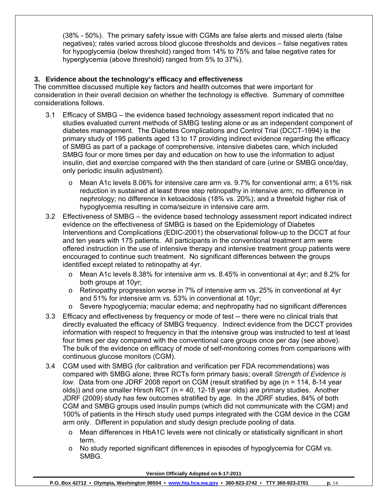(38% - 50%). The primary safety issue with CGMs are false alerts and missed alerts (false negatives); rates varied across blood glucose thresholds and devices – false negatives rates for hypoglycemia (below threshold) ranged from 14% to 75% and false negative rates for hyperglycemia (above threshold) ranged from 5% to 37%).

## **3. Evidence about the technology's efficacy and effectiveness**

The committee discussed multiple key factors and health outcomes that were important for consideration in their overall decision on whether the technology is effective. Summary of committee considerations follows.

- 3.1 Efficacy of SMBG the evidence based technology assessment report indicated that no studies evaluated current methods of SMBG testing alone or as an independent component of diabetes management. The Diabetes Complications and Control Trial (DCCT-1994) is the primary study of 195 patients aged 13 to 17 providing indirect evidence regarding the efficacy of SMBG as part of a package of comprehensive, intensive diabetes care, which included SMBG four or more times per day and education on how to use the information to adjust insulin, diet and exercise compared with the then standard of care (urine or SMBG once/day, only periodic insulin adjustment).
	- o Mean A1c levels 8.06% for intensive care arm vs. 9.7% for conventional arm; a 61% risk reduction in sustained at least three step retinopathy in intensive arm; no difference in nephrology; no difference in ketoacidosis (18% vs. 20%); and a threefold higher risk of hypoglycemia resulting in coma/seizure in intensive care arm.
- 3.2 Effectiveness of SMBG the evidence based technology assessment report indicated indirect evidence on the effectiveness of SMBG is based on the Epidemiology of Diabetes Interventions and Complications (EDIC-2001) the observational follow-up to the DCCT at four and ten years with 175 patients. All participants in the conventional treatment arm were offered instruction in the use of intensive therapy and intensive treatment group patients were encouraged to continue such treatment. No significant differences between the groups identified except related to retinopathy at 4yr.
	- o Mean A1c levels 8.38% for intensive arm vs. 8.45% in conventional at 4yr; and 8.2% for both groups at 10yr;
	- $\circ$  Retinopathy progression worse in 7% of intensive arm vs. 25% in conventional at 4yr and 51% for intensive arm vs. 53% in conventional at 10yr;
	- o Severe hypoglycemia; macular edema; and nephropathy had no significant differences
- 3.3 Efficacy and effectiveness by frequency or mode of test -- there were no clinical trials that directly evaluated the efficacy of SMBG frequency. Indirect evidence from the DCCT provides information with respect to frequency in that the intensive group was instructed to test at least four times per day compared with the conventional care groups once per day (see above). The bulk of the evidence on efficacy of mode of self-monitoring comes from comparisons with continuous glucose monitors (CGM).
- 3.4 CGM used with SMBG (for calibration and verification per FDA recommendations) was compared with SMBG alone; three RCTs form primary basis; overall *Strength of Evidence is low*. Data from one JDRF 2008 report on CGM (result stratified by age (n = 114, 8-14 year olds)) and one smaller Hirsch RCT ( $n = 40$ , 12-18 year olds) are primary studies. Another JDRF (2009) study has few outcomes stratified by age. In the JDRF studies, 84% of both CGM and SMBG groups used insulin pumps (which did not communicate with the CGM) and 100% of patients in the Hirsch study used pumps integrated with the CGM device in the CGM arm only. Different in population and study design preclude pooling of data.
	- o Mean differences in HbA1C levels were not clinically or statistically significant in short term.
	- o No study reported significant differences in episodes of hypoglycemia for CGM vs. SMBG.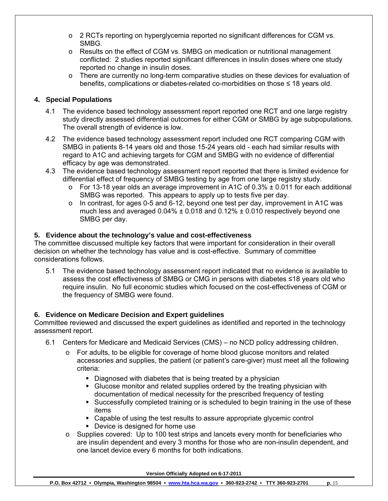- $\circ$  2 RCTs reporting on hyperglycemia reported no significant differences for CGM vs. SMBG.
- o Results on the effect of CGM vs. SMBG on medication or nutritional management conflicted: 2 studies reported significant differences in insulin doses where one study reported no change in insulin doses.
- o There are currently no long-term comparative studies on these devices for evaluation of benefits, complications or diabetes-related co-morbidities on those ≤ 18 years old.

## **4. Special Populations**

- 4.1 The evidence based technology assessment report reported one RCT and one large registry study directly assessed differential outcomes for either CGM or SMBG by age subpopulations. The overall strength of evidence is low.
- 4.2 The evidence based technology assessment report included one RCT comparing CGM with SMBG in patients 8-14 years old and those 15-24 years old - each had similar results with regard to A1C and achieving targets for CGM and SMBG with no evidence of differential efficacy by age was demonstrated.
- 4.3 The evidence based technology assessment report reported that there is limited evidence for differential effect of frequency of SMBG testing by age from one large registry study.
	- $\circ$  For 13-18 year olds an average improvement in A1C of 0.3%  $\pm$  0.011 for each additional SMBG was reported. This appears to apply up to tests five per day.
	- $\circ$  In contrast, for ages 0-5 and 6-12, beyond one test per day, improvement in A1C was much less and averaged  $0.04\% \pm 0.018$  and  $0.12\% \pm 0.010$  respectively beyond one SMBG per day.

## **5. Evidence about the technology's value and cost-effectiveness**

The committee discussed multiple key factors that were important for consideration in their overall decision on whether the technology has value and is cost-effective. Summary of committee considerations follows.

5.1 The evidence based technology assessment report indicated that no evidence is available to assess the cost effectiveness of SMBG or CMG in persons with diabetes ≤18 years old who require insulin. No full economic studies which focused on the cost-effectiveness of CGM or the frequency of SMBG were found.

## **6. Evidence on Medicare Decision and Expert guidelines**

Committee reviewed and discussed the expert guidelines as identified and reported in the technology assessment report.

- 6.1 Centers for Medicare and Medicaid Services (CMS) no NCD policy addressing children.
	- $\circ$  For adults, to be eligible for coverage of home blood glucose monitors and related accessories and supplies, the patient (or patient's care-giver) must meet all the following criteria:
		- Diagnosed with diabetes that is being treated by a physician
		- Glucose monitor and related supplies ordered by the treating physician with documentation of medical necessity for the prescribed frequency of testing
		- Successfully completed training or is scheduled to begin training in the use of these items
		- Capable of using the test results to assure appropriate glycemic control
		- **Device is designed for home use**
	- o Supplies covered: Up to 100 test strips and lancets every month for beneficiaries who are insulin dependent and every 3 months for those who are non-insulin dependent, and one lancet device every 6 months for both indications.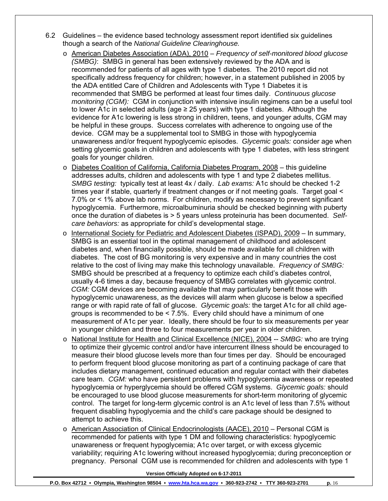- 6.2 Guidelines the evidence based technology assessment report identified six guidelines though a search of the *National Guideline Clearinghouse.* 
	- o American Diabetes Association (ADA), 2010 *Frequency of self-monitored blood glucose (SMBG)*: SMBG in general has been extensively reviewed by the ADA and is recommended for patients of all ages with type 1 diabetes. The 2010 report did not specifically address frequency for children; however, in a statement published in 2005 by the ADA entitled Care of Children and Adolescents with Type 1 Diabetes it is recommended that SMBG be performed at least four times daily. *Continuous glucose monitoring (CGM):* CGM in conjunction with intensive insulin regimens can be a useful tool to lower A1c in selected adults (age  $\geq$  25 years) with type 1 diabetes. Although the evidence for A1c lowering is less strong in children, teens, and younger adults, CGM may be helpful in these groups. Success correlates with adherence to ongoing use of the device. CGM may be a supplemental tool to SMBG in those with hypoglycemia unawareness and/or frequent hypoglycemic episodes. *Glycemic goals:* consider age when setting glycemic goals in children and adolescents with type 1 diabetes, with less stringent goals for younger children.
	- o Diabetes Coalition of California, California Diabetes Program, 2008 this guideline addresses adults, children and adolescents with type 1 and type 2 diabetes mellitus. *SMBG testing:* typically test at least 4x / daily. *Lab exams:* A1c should be checked 1-2 times year if stable, quarterly if treatment changes or if not meeting goals. Target goal < 7.0% or < 1% above lab norms. For children, modify as necessary to prevent significant hypoglycemia. Furthermore, microalbuminuria should be checked beginning with puberty once the duration of diabetes is > 5 years unless proteinuria has been documented. *Selfcare behaviors:* as appropriate for child's developmental stage.
	- o International Society for Pediatric and Adolescent Diabetes (ISPAD), 2009 In summary, SMBG is an essential tool in the optimal management of childhood and adolescent diabetes and, when financially possible, should be made available for all children with diabetes. The cost of BG monitoring is very expensive and in many countries the cost relative to the cost of living may make this technology unavailable. *Frequency of SMBG:* SMBG should be prescribed at a frequency to optimize each child's diabetes control, usually 4-6 times a day, because frequency of SMBG correlates with glycemic control. *CGM:* CGM devices are becoming available that may particularly benefit those with hypoglycemic unawareness, as the devices will alarm when glucose is below a specified range or with rapid rate of fall of glucose. *Glycemic goals:* the target A1c for all child agegroups is recommended to be < 7.5%. Every child should have a minimum of one measurement of A1c per year. Ideally, there should be four to six measurements per year in younger children and three to four measurements per year in older children.
	- o National Institute for Health and Clinical Excellence (NICE), 2004 -- *SMBG:* who are trying to optimize their glycemic control and/or have intercurrent illness should be encouraged to measure their blood glucose levels more than four times per day. Should be encouraged to perform frequent blood glucose monitoring as part of a continuing package of care that includes dietary management, continued education and regular contact with their diabetes care team. *CGM:* who have persistent problems with hypoglycemia awareness or repeated hypoglycemia or hyperglycemia should be offered CGM systems. *Glycemic goals:* should be encouraged to use blood glucose measurements for short-term monitoring of glycemic control. The target for long-term glycemic control is an A1c level of less than 7.5% without frequent disabling hypoglycemia and the child's care package should be designed to attempt to achieve this.
	- o American Association of Clinical Endocrinologists (AACE), 2010 Personal CGM is recommended for patients with type 1 DM and following characteristics: hypoglycemic unawareness or frequent hypoglycemia; A1c over target, or with excess glycemic variability; requiring A1c lowering without increased hypoglycemia; during preconception or pregnancy. Personal CGM use is recommended for children and adolescents with type 1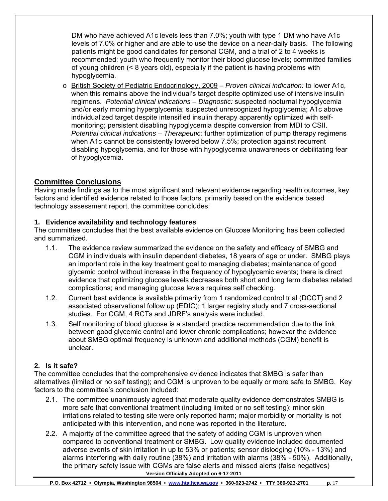DM who have achieved A1c levels less than 7.0%; youth with type 1 DM who have A1c levels of 7.0% or higher and are able to use the device on a near-daily basis. The following patients might be good candidates for personal CGM, and a trial of 2 to 4 weeks is recommended: youth who frequently monitor their blood glucose levels; committed families of young children (< 8 years old), especially if the patient is having problems with hypoglycemia.

o British Society of Pediatric Endocrinology, 2009 – *Proven clinical indication:* to lower A1c, when this remains above the individual's target despite optimized use of intensive insulin regimens. *Potential clinical indications – Diagnostic:* suspected nocturnal hypoglycemia and/or early morning hyperglycemia; suspected unrecognized hypoglycemia; A1c above individualized target despite intensified insulin therapy apparently optimized with selfmonitoring; persistent disabling hypoglycemia despite conversion from MDI to CSII. *Potential clinical indications – Therapeutic:* further optimization of pump therapy regimens when A1c cannot be consistently lowered below 7.5%; protection against recurrent disabling hypoglycemia, and for those with hypoglycemia unawareness or debilitating fear of hypoglycemia.

# **Committee Conclusions**

Having made findings as to the most significant and relevant evidence regarding health outcomes, key factors and identified evidence related to those factors, primarily based on the evidence based technology assessment report, the committee concludes:

## **1. Evidence availability and technology features**

The committee concludes that the best available evidence on Glucose Monitoring has been collected and summarized.

- 1.1. The evidence review summarized the evidence on the safety and efficacy of SMBG and CGM in individuals with insulin dependent diabetes, 18 years of age or under. SMBG plays an important role in the key treatment goal to managing diabetes; maintenance of good glycemic control without increase in the frequency of hypoglycemic events; there is direct evidence that optimizing glucose levels decreases both short and long term diabetes related complications; and managing glucose levels requires self checking.
- 1.2. Current best evidence is available primarily from 1 randomized control trial (DCCT) and 2 associated observational follow up (EDIC); 1 larger registry study and 7 cross-sectional studies. For CGM, 4 RCTs and JDRF's analysis were included.
- 1.3. Self monitoring of blood glucose is a standard practice recommendation due to the link between good glycemic control and lower chronic complications; however the evidence about SMBG optimal frequency is unknown and additional methods (CGM) benefit is unclear.

## **2. Is it safe?**

The committee concludes that the comprehensive evidence indicates that SMBG is safer than alternatives (limited or no self testing); and CGM is unproven to be equally or more safe to SMBG. Key factors to the committee's conclusion included:

- 2.1. The committee unanimously agreed that moderate quality evidence demonstrates SMBG is more safe that conventional treatment (including limited or no self testing): minor skin irritations related to testing site were only reported harm; major morbidity or mortality is not anticipated with this intervention, and none was reported in the literature.
- **Version Officially Adopted on 6-17-2011**  2.2. A majority of the committee agreed that the safety of adding CGM is unproven when compared to conventional treatment or SMBG. Low quality evidence included documented adverse events of skin irritation in up to 53% or patients; sensor dislodging (10% - 13%) and alarms interfering with daily routine (38%) and irritation with alarms (38% - 50%). Additionally, the primary safety issue with CGMs are false alerts and missed alerts (false negatives)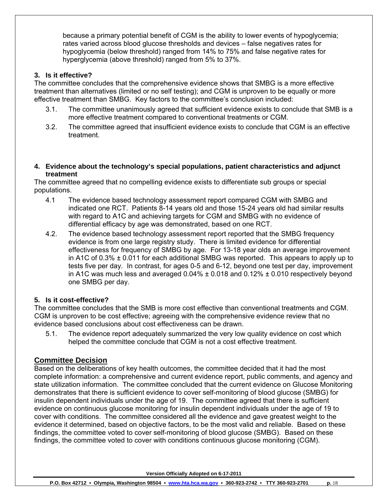because a primary potential benefit of CGM is the ability to lower events of hypoglycemia; rates varied across blood glucose thresholds and devices – false negatives rates for hypoglycemia (below threshold) ranged from 14% to 75% and false negative rates for hyperglycemia (above threshold) ranged from 5% to 37%.

## **3. Is it effective?**

The committee concludes that the comprehensive evidence shows that SMBG is a more effective treatment than alternatives (limited or no self testing); and CGM is unproven to be equally or more effective treatment than SMBG. Key factors to the committee's conclusion included:

- 3.1. The committee unanimously agreed that sufficient evidence exists to conclude that SMB is a more effective treatment compared to conventional treatments or CGM.
- 3.2. The committee agreed that insufficient evidence exists to conclude that CGM is an effective treatment.
- **4. Evidence about the technology's special populations, patient characteristics and adjunct treatment**

The committee agreed that no compelling evidence exists to differentiate sub groups or special populations.

- 4.1 The evidence based technology assessment report compared CGM with SMBG and indicated one RCT. Patients 8-14 years old and those 15-24 years old had similar results with regard to A1C and achieving targets for CGM and SMBG with no evidence of differential efficacy by age was demonstrated, based on one RCT.
- 4.2. The evidence based technology assessment report reported that the SMBG frequency evidence is from one large registry study. There is limited evidence for differential effectiveness for frequency of SMBG by age. For 13-18 year olds an average improvement in A1C of 0.3% ± 0.011 for each additional SMBG was reported. This appears to apply up to tests five per day. In contrast, for ages 0-5 and 6-12, beyond one test per day, improvement in A1C was much less and averaged  $0.04\% \pm 0.018$  and  $0.12\% \pm 0.010$  respectively beyond one SMBG per day.

## **5. Is it cost-effective?**

The committee concludes that the SMB is more cost effective than conventional treatments and CGM. CGM is unproven to be cost effective; agreeing with the comprehensive evidence review that no evidence based conclusions about cost effectiveness can be drawn.

5.1. The evidence report adequately summarized the very low quality evidence on cost which helped the committee conclude that CGM is not a cost effective treatment.

## **Committee Decision**

Based on the deliberations of key health outcomes, the committee decided that it had the most complete information: a comprehensive and current evidence report, public comments, and agency and state utilization information. The committee concluded that the current evidence on Glucose Monitoring demonstrates that there is sufficient evidence to cover self-monitoring of blood glucose (SMBG) for insulin dependent individuals under the age of 19. The committee agreed that there is sufficient evidence on continuous glucose monitoring for insulin dependent individuals under the age of 19 to cover with conditions. The committee considered all the evidence and gave greatest weight to the evidence it determined, based on objective factors, to be the most valid and reliable. Based on these findings, the committee voted to cover self-monitoring of blood glucose (SMBG). Based on these findings, the committee voted to cover with conditions continuous glucose monitoring (CGM).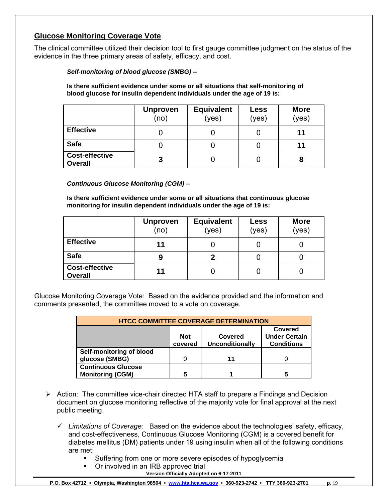# **Glucose Monitoring Coverage Vote**

The clinical committee utilized their decision tool to first gauge committee judgment on the status of the evidence in the three primary areas of safety, efficacy, and cost.

*Self-monitoring of blood glucose (SMBG) --* 

**Is there sufficient evidence under some or all situations that self-monitoring of blood glucose for insulin dependent individuals under the age of 19 is:** 

|                                         | <b>Unproven</b><br>(no) | <b>Equivalent</b><br>(yes) | Less<br>(yes) | <b>More</b><br>(yes) |
|-----------------------------------------|-------------------------|----------------------------|---------------|----------------------|
| <b>Effective</b>                        |                         |                            |               | 11                   |
| <b>Safe</b>                             |                         |                            |               | 11                   |
| <b>Cost-effective</b><br><b>Overall</b> | 3                       |                            |               | 8                    |

*Continuous Glucose Monitoring (CGM) --* 

**Is there sufficient evidence under some or all situations that continuous glucose monitoring for insulin dependent individuals under the age of 19 is:** 

|                                         | <b>Unproven</b><br>(no) | <b>Equivalent</b><br>(yes) | Less<br>(yes) | <b>More</b><br>(yes) |
|-----------------------------------------|-------------------------|----------------------------|---------------|----------------------|
| <b>Effective</b>                        | 11                      |                            |               |                      |
| <b>Safe</b>                             | 9                       |                            |               |                      |
| <b>Cost-effective</b><br><b>Overall</b> | 11                      |                            |               |                      |

Glucose Monitoring Coverage Vote: Based on the evidence provided and the information and comments presented, the committee moved to a vote on coverage.

| <b>HTCC COMMITTEE COVERAGE DETERMINATION</b>                                                                       |   |    |  |  |  |  |
|--------------------------------------------------------------------------------------------------------------------|---|----|--|--|--|--|
| Covered<br><b>Under Certain</b><br><b>Not</b><br>Covered<br>covered<br><b>Unconditionally</b><br><b>Conditions</b> |   |    |  |  |  |  |
| Self-monitoring of blood                                                                                           |   |    |  |  |  |  |
| glucose (SMBG)                                                                                                     | n | 11 |  |  |  |  |
| <b>Continuous Glucose</b>                                                                                          |   |    |  |  |  |  |
| <b>Monitoring (CGM)</b>                                                                                            | 5 |    |  |  |  |  |

- $\triangleright$  Action: The committee vice-chair directed HTA staff to prepare a Findings and Decision document on glucose monitoring reflective of the majority vote for final approval at the next public meeting.
	- 9 *Limitations of Coverage:* Based on the evidence about the technologies' safety, efficacy, and cost-effectiveness, Continuous Glucose Monitoring (CGM) is a covered benefit for diabetes mellitus (DM) patients under 19 using insulin when all of the following conditions are met:
		- **Suffering from one or more severe episodes of hypoglycemia**
		- Or involved in an IRB approved trial
			- **Version Officially Adopted on 6-17-2011**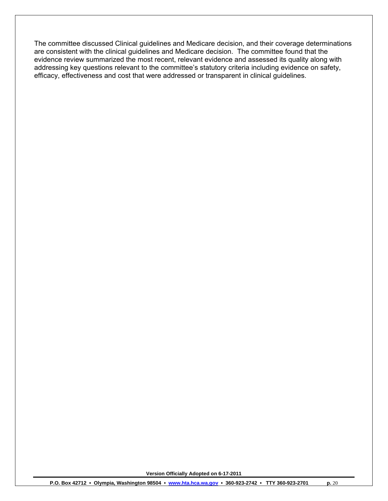The committee discussed Clinical guidelines and Medicare decision, and their coverage determinations are consistent with the clinical guidelines and Medicare decision. The committee found that the evidence review summarized the most recent, relevant evidence and assessed its quality along with addressing key questions relevant to the committee's statutory criteria including evidence on safety, efficacy, effectiveness and cost that were addressed or transparent in clinical guidelines.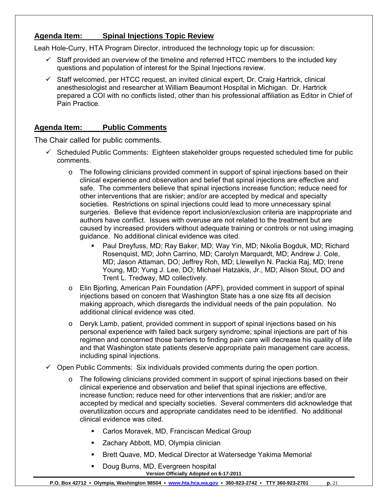# **Agenda Item: Spinal Injections Topic Review**

Leah Hole-Curry, HTA Program Director, introduced the technology topic up for discussion:

- $\checkmark$  Staff provided an overview of the timeline and referred HTCC members to the included key questions and population of interest for the Spinal Injections review.
- $\checkmark$  Staff welcomed, per HTCC request, an invited clinical expert, Dr. Craig Hartrick, clinical anesthesiologist and researcher at William Beaumont Hospital in Michigan. Dr. Hartrick prepared a COI with no conflicts listed, other than his professional affiliation as Editor in Chief of Pain Practice.

# **Agenda Item: Public Comments**

The Chair called for public comments.

- $\checkmark$  Scheduled Public Comments: Eighteen stakeholder groups requested scheduled time for public comments.
	- $\circ$  The following clinicians provided comment in support of spinal injections based on their clinical experience and observation and belief that spinal injections are effective and safe. The commenters believe that spinal injections increase function; reduce need for other interventions that are riskier; and/or are accepted by medical and specialty societies. Restrictions on spinal injections could lead to more unnecessary spinal surgeries. Believe that evidence report inclusion/exclusion criteria are inappropriate and authors have conflict. Issues with overuse are not related to the treatment but are caused by increased providers without adequate training or controls or not using imaging guidance. No additional clinical evidence was cited.
		- Paul Dreyfuss, MD; Ray Baker, MD; Way Yin, MD; Nikolia Bogduk, MD; Richard Rosenquist, MD; John Carrino, MD; Carolyn Marquardt, MD; Andrew J. Cole, MD; Jason Attaman, DO; Jeffrey Roh, MD; Llewellyn N. Packia Raj, MD; Irene Young, MD; Yung J. Lee, DO; Michael Hatzakis, Jr., MD; Alison Stout, DO and Trent L. Tredway, MD collectively.
	- o Elin Bjorling, American Pain Foundation (APF), provided comment in support of spinal injections based on concern that Washington State has a one size fits all decision making approach, which disregards the individual needs of the pain population. No additional clinical evidence was cited.
	- o Deryk Lamb, patient, provided comment in support of spinal injections based on his personal experience with failed back surgery syndrome; spinal injections are part of his regimen and concerned those barriers to finding pain care will decrease his quality of life and that Washington state patients deserve appropriate pain management care access, including spinal injections.
- $\checkmark$  Open Public Comments: Six individuals provided comments during the open portion.
	- $\circ$  The following clinicians provided comment in support of spinal injections based on their clinical experience and observation and belief that spinal injections are effective, increase function; reduce need for other interventions that are riskier; and/or are accepted by medical and specialty societies. Several commenters did acknowledge that overutilization occurs and appropriate candidates need to be identified. No additional clinical evidence was cited.
		- Carlos Moravek, MD, Franciscan Medical Group
		- **EXEC** Zachary Abbott, MD, Olympia clinician
		- Brett Quave, MD, Medical Director at Watersedge Yakima Memorial
		- **Version Officially Adopted on 6-17-2011**  Doug Burns, MD, Evergreen hospital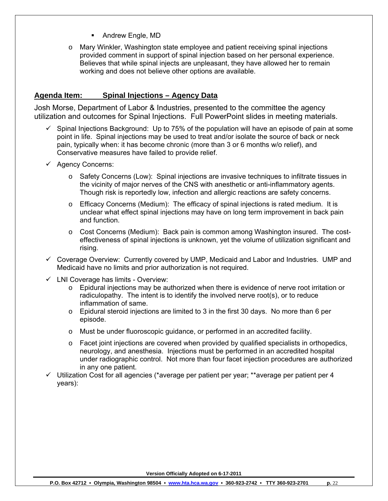- **Andrew Engle, MD**
- o Mary Winkler, Washington state employee and patient receiving spinal injections provided comment in support of spinal injection based on her personal experience. Believes that while spinal injects are unpleasant, they have allowed her to remain working and does not believe other options are available.

# **Agenda Item: Spinal Injections – Agency Data**

Josh Morse, Department of Labor & Industries, presented to the committee the agency utilization and outcomes for Spinal Injections. Full PowerPoint slides in meeting materials.

- $\checkmark$  Spinal Injections Background: Up to 75% of the population will have an episode of pain at some point in life. Spinal injections may be used to treat and/or isolate the source of back or neck pain, typically when: it has become chronic (more than 3 or 6 months w/o relief), and Conservative measures have failed to provide relief.
- $\checkmark$  Agency Concerns:
	- $\circ$  Safety Concerns (Low): Spinal injections are invasive techniques to infiltrate tissues in the vicinity of major nerves of the CNS with anesthetic or anti-inflammatory agents. Though risk is reportedly low, infection and allergic reactions are safety concerns.
	- $\circ$  Efficacy Concerns (Medium): The efficacy of spinal injections is rated medium. It is unclear what effect spinal injections may have on long term improvement in back pain and function.
	- $\circ$  Cost Concerns (Medium): Back pain is common among Washington insured. The costeffectiveness of spinal injections is unknown, yet the volume of utilization significant and rising.
- $\checkmark$  Coverage Overview: Currently covered by UMP, Medicaid and Labor and Industries. UMP and Medicaid have no limits and prior authorization is not required.
- $\checkmark$  LNI Coverage has limits Overview:
	- $\circ$  Epidural injections may be authorized when there is evidence of nerve root irritation or radiculopathy. The intent is to identify the involved nerve root(s), or to reduce inflammation of same.
	- $\circ$  Epidural steroid injections are limited to 3 in the first 30 days. No more than 6 per episode.
	- o Must be under fluoroscopic guidance, or performed in an accredited facility.
	- $\circ$  Facet joint injections are covered when provided by qualified specialists in orthopedics, neurology, and anesthesia. Injections must be performed in an accredited hospital under radiographic control. Not more than four facet injection procedures are authorized in any one patient.
- $\checkmark$  Utilization Cost for all agencies (\*average per patient per year; \*\*average per patient per 4 years):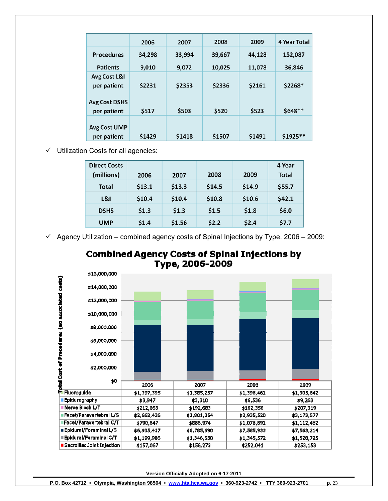|                              | 2006   | 2007   | 2008   | 2009   | 4 Year Total |
|------------------------------|--------|--------|--------|--------|--------------|
| <b>Procedures</b>            | 34,298 | 33,994 | 39,667 | 44.128 | 152,087      |
| <b>Patients</b>              | 9.010  | 9.072  | 10,025 | 11,078 | 36,846       |
| Avg Cost L&I<br>per patient  | \$2231 | \$2353 | \$2336 | \$2161 | \$2268*      |
| Avg Cost DSHS<br>per patient | \$517  | \$503  | \$520  | \$523  | \$648**      |
| Avg Cost UMP<br>per patient  | \$1429 | \$1418 | \$1507 | \$1491 | \$1925**     |

 $\checkmark$  Utilization Costs for all agencies:

| <b>Direct Costs</b> |        |        |        |        | 4 Year |
|---------------------|--------|--------|--------|--------|--------|
| (millions)          | 2006   | 2007   | 2008   | 2009   | Total  |
| Total               | \$13.1 | \$13.3 | \$14.5 | \$14.9 | \$55.7 |
| L81                 | \$10.4 | \$10.4 | \$10.8 | \$10.6 | \$42.1 |
| <b>DSHS</b>         | \$1.3  | \$1.3  | \$1.5  | \$1.8  | \$6.0  |
| <b>UMP</b>          | \$1.4  | \$1.56 | \$2.2  | \$2.4  | \$7.7  |

 $\checkmark$  Agency Utilization – combined agency costs of Spinal Injections by Type, 2006 – 2009:



# **Combined Agency Costs of Spinal Injections by** Type, 2006-2009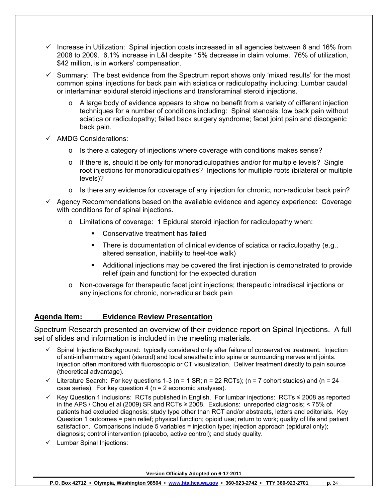- $\checkmark$  Increase in Utilization: Spinal injection costs increased in all agencies between 6 and 16% from 2008 to 2009. 6.1% increase in L&I despite 15% decrease in claim volume. 76% of utilization, \$42 million, is in workers' compensation.
- $\checkmark$  Summary: The best evidence from the Spectrum report shows only 'mixed results' for the most common spinal injections for back pain with sciatica or radiculopathy including: Lumbar caudal or interlaminar epidural steroid injections and transforaminal steroid injections.
	- $\circ$  A large body of evidence appears to show no benefit from a variety of different injection techniques for a number of conditions including: Spinal stenosis; low back pain without sciatica or radiculopathy; failed back surgery syndrome; facet joint pain and discogenic back pain.
- $\checkmark$  AMDG Considerations:
	- o Is there a category of injections where coverage with conditions makes sense?
	- $\circ$  If there is, should it be only for monoradiculopathies and/or for multiple levels? Single root injections for monoradiculopathies? Injections for multiple roots (bilateral or multiple levels)?
	- $\circ$  Is there any evidence for coverage of any injection for chronic, non-radicular back pain?
- $\checkmark$  Agency Recommendations based on the available evidence and agency experience: Coverage with conditions for of spinal injections.
	- $\circ$  Limitations of coverage: 1 Epidural steroid injection for radiculopathy when:
		- **Conservative treatment has failed**
		- There is documentation of clinical evidence of sciatica or radiculopathy (e.g., altered sensation, inability to heel-toe walk)
		- Additional injections may be covered the first injection is demonstrated to provide relief (pain and function) for the expected duration
	- o Non-coverage for therapeutic facet joint injections; therapeutic intradiscal injections or any injections for chronic, non-radicular back pain

## **Agenda Item: Evidence Review Presentation**

Spectrum Research presented an overview of their evidence report on Spinal Injections. A full set of slides and information is included in the meeting materials.

- $\checkmark$  Spinal Injections Background: typically considered only after failure of conservative treatment. Injection of anti-inflammatory agent (steroid) and local anesthetic into spine or surrounding nerves and joints. Injection often monitored with fluoroscopic or CT visualization. Deliver treatment directly to pain source (theoretical advantage).
- $\checkmark$  Literature Search: For key questions 1-3 (n = 1 SR; n = 22 RCTs); (n = 7 cohort studies) and (n = 24 case series). For key question 4 (n = 2 economic analyses).
- 9 Key Question 1 inclusions: RCTs published in English. For lumbar injections: RCTs ≤ 2008 as reported in the APS / Chou et al (2009) SR and RCTs ≥ 2008. Exclusions: unreported diagnosis; < 75% of patients had excluded diagnosis; study type other than RCT and/or abstracts, letters and editorials. Key Question 1 outcomes = pain relief; physical function; opioid use; return to work; quality of life and patient satisfaction. Comparisons include 5 variables = injection type; injection approach (epidural only); diagnosis; control intervention (placebo, active control); and study quality.
- $\checkmark$  Lumbar Spinal Injections: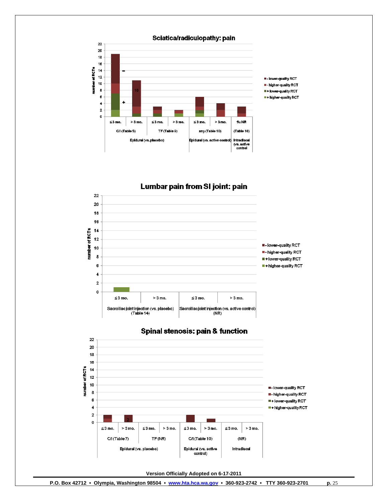

Lumbar pain from SI joint: pain 22 20 18 16  $14$ number of RCTs  $12$ **E-Iower-quality RCT** 10 - higher-quality RCT 8 I + lower-quality RCT 6 - higher-quality RCT  $\ddot{\phantom{1}}$  $\mathbf 2$  $\pmb{0}$  $\leq$  3 mo.  $> 3$  mo.  $\leq$  3 mo.  $>3$  mo. Sacroiliac joint injection (vs. placebo)<br>(Table 14) Sacrolliac joint injection (vs. active control)<br>(NR)



#### **Spinal stenosis: pain & function**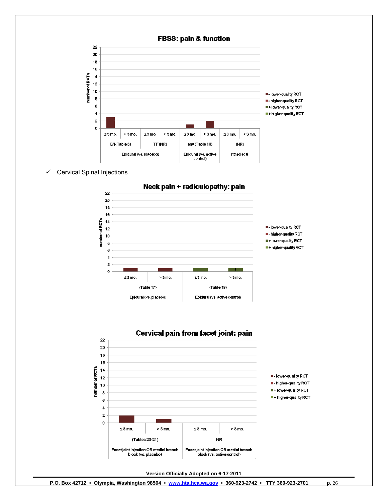

 $\checkmark$  Cervical Spinal Injections



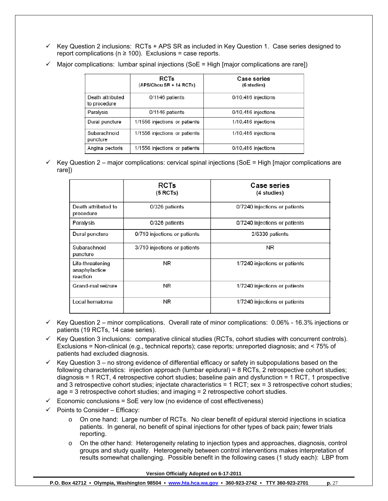9 Key Question 2 inclusions: RCTs + APS SR as included in Key Question 1. Case series designed to report complications ( $n \ge 100$ ). Exclusions = case reports.

|                                  | <b>RCTs</b><br>(APS/Chou SR + 14 RCTs) | <b>Case series</b><br>(6 studies) |
|----------------------------------|----------------------------------------|-----------------------------------|
| Death attributed<br>to procedure | $0/1146$ patients                      | $0/10,416$ injections             |
| Paralysis                        | 0/1146 patients                        | $0/10,416$ injections             |
| Dural puncture                   | 1/1556 injections or patients          | 1/10,416 injections               |
| Subarachnoid<br>puncture         | 1/1556 injections or patients          | 1/10,416 injections               |
| Angina pectoris                  | 1/1556 injections or patients          | 0/10,416 injections               |

Major complications: lumbar spinal injections (SoE = High [major complications are rare])

9 Key Question 2 – major complications: cervical spinal injections (SoE = High [major complications are rare])

|                                               | <b>RCTs</b><br>(5 RCTs)      | <b>Case series</b><br>(4 studies) |
|-----------------------------------------------|------------------------------|-----------------------------------|
| Death attributed to<br>procedure              | 0/326 patients               | 0/7240 injections or patients     |
| Paralysis                                     | 0/326 patients               | 0/7240 injections or patients     |
| Dural puncture                                | 0/710 injections or patients | 2/6330 patients                   |
| Subarachnoid<br>puncture                      | 3/710 injections or patients | ΝR                                |
| Life-threatening<br>anaphylactice<br>reaction | NR                           | 1/7240 injections or patients     |
| Grand-mal seizure                             | NR                           | 1/7240 injections or patients     |
| Local hematoma                                | NR                           | 1/7240 injections or patients     |

- $\checkmark$  Key Question 2 minor complications. Overall rate of minor complications: 0.06% 16.3% injections or patients (19 RCTs, 14 case series).
- $\checkmark$  Key Question 3 inclusions: comparative clinical studies (RCTs, cohort studies with concurrent controls). Exclusions = Non-clinical (e.g., technical reports); case reports; unreported diagnosis; and < 75% of patients had excluded diagnosis.
- $\checkmark$  Key Question 3 no strong evidence of differential efficacy or safety in subpopulations based on the following characteristics: injection approach (lumbar epidural) = 8 RCTs, 2 retrospective cohort studies; diagnosis = 1 RCT, 4 retrospective cohort studies; baseline pain and dysfunction = 1 RCT, 1 prospective and 3 retrospective cohort studies; injectate characteristics = 1 RCT; sex = 3 retrospective cohort studies; age = 3 retrospective cohort studies; and imaging = 2 retrospective cohort studies.
- 9 Economic conclusions = SoE very low (no evidence of cost effectiveness)
- Points to Consider Efficacy:
	- o On one hand: Large number of RCTs. No clear benefit of epidural steroid injections in sciatica patients. In general, no benefit of spinal injections for other types of back pain; fewer trials reporting.
	- o On the other hand: Heterogeneity relating to injection types and approaches, diagnosis, control groups and study quality. Heterogeneity between control interventions makes interpretation of results somewhat challenging. Possible benefit in the following cases (1 study each): LBP from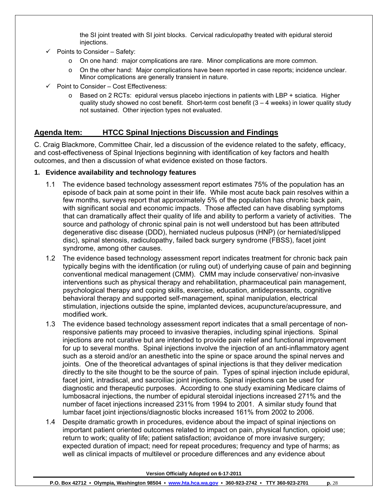the SI joint treated with SI joint blocks. Cervical radiculopathy treated with epidural steroid injections.

- $\checkmark$  Points to Consider Safety:
	- o On one hand: major complications are rare. Minor complications are more common.
	- o On the other hand: Major complications have been reported in case reports; incidence unclear. Minor complications are generally transient in nature.
- $\checkmark$  Point to Consider Cost Effectiveness:
	- $\circ$  Based on 2 RCTs: epidural versus placebo injections in patients with LBP + sciatica. Higher quality study showed no cost benefit. Short-term cost benefit  $(3 - 4$  weeks) in lower quality study not sustained. Other injection types not evaluated.

## **Agenda Item: HTCC Spinal Injections Discussion and Findings**

C. Craig Blackmore, Committee Chair, led a discussion of the evidence related to the safety, efficacy, and cost-effectiveness of Spinal Injections beginning with identification of key factors and health outcomes, and then a discussion of what evidence existed on those factors.

## **1. Evidence availability and technology features**

- 1.1 The evidence based technology assessment report estimates 75% of the population has an episode of back pain at some point in their life. While most acute back pain resolves within a few months, surveys report that approximately 5% of the population has chronic back pain, with significant social and economic impacts. Those affected can have disabling symptoms that can dramatically affect their quality of life and ability to perform a variety of activities. The source and pathology of chronic spinal pain is not well understood but has been attributed degenerative disc disease (DDD), herniated nucleus pulposus (HNP) (or herniated/slipped disc), spinal stenosis, radiculopathy, failed back surgery syndrome (FBSS), facet joint syndrome, among other causes.
- 1.2 The evidence based technology assessment report indicates treatment for chronic back pain typically begins with the identification (or ruling out) of underlying cause of pain and beginning conventional medical management (CMM). CMM may include conservative/ non-invasive interventions such as physical therapy and rehabilitation, pharmaceutical pain management, psychological therapy and coping skills, exercise, education, antidepressants, cognitive behavioral therapy and supported self-management, spinal manipulation, electrical stimulation, injections outside the spine, implanted devices, acupuncture/acupressure, and modified work.
- 1.3 The evidence based technology assessment report indicates that a small percentage of nonresponsive patients may proceed to invasive therapies, including spinal injections. Spinal injections are not curative but are intended to provide pain relief and functional improvement for up to several months. Spinal injections involve the injection of an anti-inflammatory agent such as a steroid and/or an anesthetic into the spine or space around the spinal nerves and joints. One of the theoretical advantages of spinal injections is that they deliver medication directly to the site thought to be the source of pain. Types of spinal injection include epidural, facet joint, intradiscal, and sacroiliac joint injections. Spinal injections can be used for diagnostic and therapeutic purposes. According to one study examining Medicare claims of lumbosacral injections, the number of epidural steroidal injections increased 271% and the number of facet injections increased 231% from 1994 to 2001. A similar study found that lumbar facet joint injections/diagnostic blocks increased 161% from 2002 to 2006.
- 1.4 Despite dramatic growth in procedures, evidence about the impact of spinal injections on important patient oriented outcomes related to impact on pain, physical function, opioid use; return to work; quality of life; patient satisfaction; avoidance of more invasive surgery; expected duration of impact; need for repeat procedures; frequency and type of harms; as well as clinical impacts of multilevel or procedure differences and any evidence about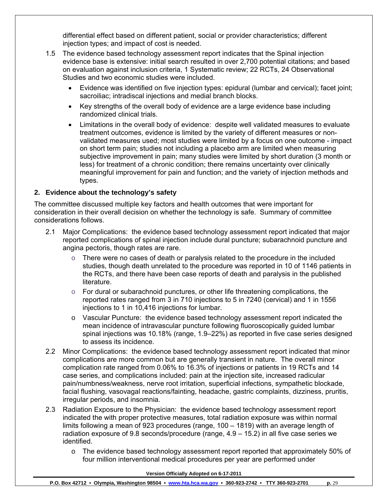differential effect based on different patient, social or provider characteristics; different injection types; and impact of cost is needed.

- 1.5 The evidence based technology assessment report indicates that the Spinal injection evidence base is extensive: initial search resulted in over 2,700 potential citations; and based on evaluation against inclusion criteria, 1 Systematic review; 22 RCTs, 24 Observational Studies and two economic studies were included.
	- Evidence was identified on five injection types: epidural (lumbar and cervical); facet joint; sacroiliac; intradiscal injections and medial branch blocks.
	- Key strengths of the overall body of evidence are a large evidence base including randomized clinical trials.
	- Limitations in the overall body of evidence: despite well validated measures to evaluate treatment outcomes, evidence is limited by the variety of different measures or nonvalidated measures used; most studies were limited by a focus on one outcome - impact on short term pain; studies not including a placebo arm are limited when measuring subjective improvement in pain; many studies were limited by short duration (3 month or less) for treatment of a chronic condition; there remains uncertainty over clinically meaningful improvement for pain and function; and the variety of injection methods and types.

## **2. Evidence about the technology's safety**

The committee discussed multiple key factors and health outcomes that were important for consideration in their overall decision on whether the technology is safe. Summary of committee considerations follows.

- 2.1 Major Complications: the evidence based technology assessment report indicated that major reported complications of spinal injection include dural puncture; subarachnoid puncture and angina pectoris, though rates are rare.
	- o There were no cases of death or paralysis related to the procedure in the included studies, though death unrelated to the procedure was reported in 10 of 1146 patients in the RCTs, and there have been case reports of death and paralysis in the published literature.
	- $\circ$  For dural or subarachnoid punctures, or other life threatening complications, the reported rates ranged from 3 in 710 injections to 5 in 7240 (cervical) and 1 in 1556 injections to 1 in 10,416 injections for lumbar.
	- o Vascular Puncture: the evidence based technology assessment report indicated the mean incidence of intravascular puncture following fluoroscopically guided lumbar spinal injections was 10.18% (range, 1.9–22%) as reported in five case series designed to assess its incidence.
- 2.2 Minor Complications: the evidence based technology assessment report indicated that minor complications are more common but are generally transient in nature. The overall minor complication rate ranged from 0.06% to 16.3% of injections or patients in 19 RCTs and 14 case series, and complications included: pain at the injection site, increased radicular pain/numbness/weakness, nerve root irritation, superficial infections, sympathetic blockade, facial flushing, vasovagal reactions/fainting, headache, gastric complaints, dizziness, pruritis, irregular periods, and insomnia.
- 2.3 Radiation Exposure to the Physician: the evidence based technology assessment report indicated the with proper protective measures, total radiation exposure was within normal limits following a mean of 923 procedures (range, 100 – 1819) with an average length of radiation exposure of 9.8 seconds/procedure (range, 4.9 – 15.2) in all five case series we identified.
	- o The evidence based technology assessment report reported that approximately 50% of four million interventional medical procedures per year are performed under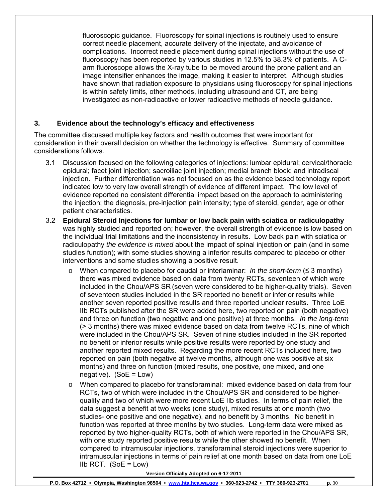fluoroscopic guidance. Fluoroscopy for spinal injections is routinely used to ensure correct needle placement, accurate delivery of the injectate, and avoidance of complications. Incorrect needle placement during spinal injections without the use of fluoroscopy has been reported by various studies in 12.5% to 38.3% of patients. A Carm fluoroscope allows the X-ray tube to be moved around the prone patient and an image intensifier enhances the image, making it easier to interpret. Although studies have shown that radiation exposure to physicians using fluoroscopy for spinal injections is within safety limits, other methods, including ultrasound and CT, are being investigated as non-radioactive or lower radioactive methods of needle guidance.

## **3. Evidence about the technology's efficacy and effectiveness**

The committee discussed multiple key factors and health outcomes that were important for consideration in their overall decision on whether the technology is effective. Summary of committee considerations follows.

- 3.1 Discussion focused on the following categories of injections: lumbar epidural; cervical/thoracic epidural; facet joint injection; sacroiliac joint injection; medial branch block; and intradiscal injection. Further differentiation was not focused on as the evidence based technology report indicated low to very low overall strength of evidence of different impact. The low level of evidence reported no consistent differential impact based on the approach to administering the injection; the diagnosis, pre-injection pain intensity; type of steroid, gender, age or other patient characteristics.
- 3.2 **Epidural Steroid Injections for lumbar or low back pain with sciatica or radiculopathy** was highly studied and reported on; however, the overall strength of evidence is low based on the individual trial limitations and the inconsistency in results. Low back pain with sciatica or radiculopathy *the evidence is mixed* about the impact of spinal injection on pain (and in some studies function); with some studies showing a inferior results compared to placebo or other interventions and some studies showing a positive result.
	- o When compared to placebo for caudal or interlaminar: *In the short-term* (≤ 3 months) there was mixed evidence based on data from twenty RCTs, seventeen of which were included in the Chou/APS SR (seven were considered to be higher-quality trials). Seven of seventeen studies included in the SR reported no benefit or inferior results while another seven reported positive results and three reported unclear results. Three LoE IIb RCTs published after the SR were added here, two reported on pain (both negative) and three on function (two negative and one positive) at three months. *In the long-term* (> 3 months) there was mixed evidence based on data from twelve RCTs, nine of which were included in the Chou/APS SR. Seven of nine studies included in the SR reported no benefit or inferior results while positive results were reported by one study and another reported mixed results. Regarding the more recent RCTs included here, two reported on pain (both negative at twelve months, although one was positive at six months) and three on function (mixed results, one positive, one mixed, and one negative).  $(SoE = Low)$
	- o When compared to placebo for transforaminal: mixed evidence based on data from four RCTs, two of which were included in the Chou/APS SR and considered to be higherquality and two of which were more recent LoE IIb studies. In terms of pain relief, the data suggest a benefit at two weeks (one study), mixed results at one month (two studies- one positive and one negative), and no benefit by 3 months. No benefit in function was reported at three months by two studies. Long-term data were mixed as reported by two higher-quality RCTs, both of which were reported in the Chou/APS SR, with one study reported positive results while the other showed no benefit. When compared to intramuscular injections, transforaminal steroid injections were superior to intramuscular injections in terms of pain relief at one month based on data from one LoE IIb RCT.  $(SoE = Low)$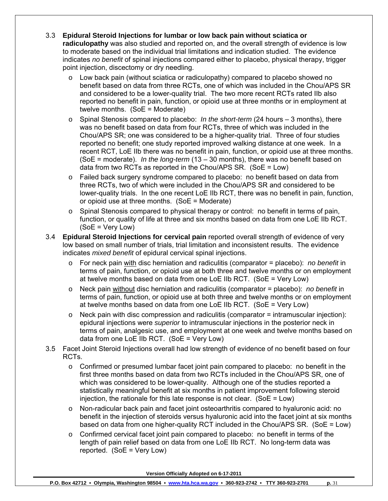- 3.3 **Epidural Steroid Injections for lumbar or low back pain without sciatica or radiculopathy** was also studied and reported on, and the overall strength of evidence is low to moderate based on the individual trial limitations and indication studied. The evidence indicates *no benefit* of spinal injections compared either to placebo, physical therapy, trigger point injection, discectomy or dry needling.
	- o Low back pain (without sciatica or radiculopathy) compared to placebo showed no benefit based on data from three RCTs, one of which was included in the Chou/APS SR and considered to be a lower-quality trial. The two more recent RCTs rated IIb also reported no benefit in pain, function, or opioid use at three months or in employment at twelve months. (SoE = Moderate)
	- o Spinal Stenosis compared to placebo: *In the short-term* (24 hours 3 months), there was no benefit based on data from four RCTs, three of which was included in the Chou/APS SR; one was considered to be a higher-quality trial. Three of four studies reported no benefit; one study reported improved walking distance at one week. In a recent RCT, LoE IIb there was no benefit in pain, function, or opioid use at three months. (SoE = moderate). *In the long-term* (13 – 30 months), there was no benefit based on data from two RCTs as reported in the Chou/APS SR. (SoE = Low)
	- o Failed back surgery syndrome compared to placebo: no benefit based on data from three RCTs, two of which were included in the Chou/APS SR and considered to be lower-quality trials. In the one recent LoE IIb RCT, there was no benefit in pain, function, or opioid use at three months. (SoE = Moderate)
	- o Spinal Stenosis compared to physical therapy or control: no benefit in terms of pain, function, or quality of life at three and six months based on data from one LoE IIb RCT. (SoE = Very Low)
- 3.4 **Epidural Steroid Injections for cervical pain** reported overall strength of evidence of very low based on small number of trials, trial limitation and inconsistent results. The evidence indicates *mixed benefit* of epidural cervical spinal injections.
	- o For neck pain with disc herniation and radiculitis (comparator = placebo): *no benefit* in terms of pain, function, or opioid use at both three and twelve months or on employment at twelve months based on data from one LoE IIb RCT. (SoE = Very Low)
	- o Neck pain without disc herniation and radiculitis (comparator = placebo): *no benefit* in terms of pain, function, or opioid use at both three and twelve months or on employment at twelve months based on data from one LoE IIb RCT. (SoE = Very Low)
	- $\circ$  Neck pain with disc compression and radiculitis (comparator = intramuscular injection): epidural injections were *superior* to intramuscular injections in the posterior neck in terms of pain, analgesic use, and employment at one week and twelve months based on data from one LoE IIb RCT. (SoE = Very Low)
- 3.5 Facet Joint Steroid Injections overall had low strength of evidence of no benefit based on four RCTs.
	- $\circ$  Confirmed or presumed lumbar facet joint pain compared to placebo: no benefit in the first three months based on data from two RCTs included in the Chou/APS SR, one of which was considered to be lower-quality. Although one of the studies reported a statistically meaningful benefit at six months in patient improvement following steroid injection, the rationale for this late response is not clear. (SoE = Low)
	- o Non-radicular back pain and facet joint osteoarthritis compared to hyaluronic acid: no benefit in the injection of steroids versus hyaluronic acid into the facet joint at six months based on data from one higher-quality RCT included in the Chou/APS SR. (SoE = Low)
	- $\circ$  Confirmed cervical facet joint pain compared to placebo: no benefit in terms of the length of pain relief based on data from one LoE IIb RCT. No long-term data was reported. (SoE = Very Low)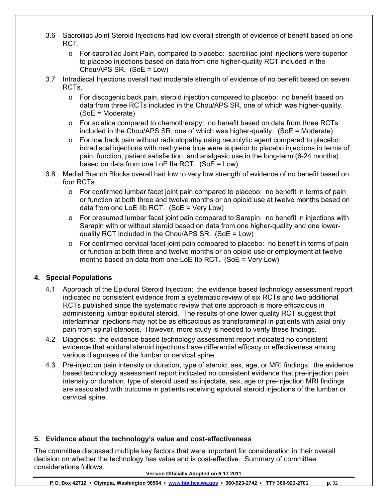- 3.6 Sacroiliac Joint Steroid Injections had low overall strength of evidence of benefit based on one RCT.
	- o For sacroiliac Joint Pain, compared to placebo: sacroiliac joint injections were superior to placebo injections based on data from one higher-quality RCT included in the Chou/APS SR. (SoE = Low)
- 3.7 Intradiscal Injections overall had moderate strength of evidence of no benefit based on seven RCTs.
	- o For discogenic back pain, steroid injection compared to placebo: no benefit based on data from three RCTs included in the Chou/APS SR, one of which was higher-quality. (SoE = Moderate)
	- $\circ$  For sciatica compared to chemotherapy: no benefit based on data from three RCTs included in the Chou/APS SR, one of which was higher-quality. (SoE = Moderate)
	- $\circ$  For low back pain without radiculopathy using neurolytic agent compared to placebo: intradiscal injections with methylene blue were superior to placebo injections in terms of pain, function, patient satisfaction, and analgesic use in the long-term (6-24 months) based on data from one LoE IIa RCT. (SoE = Low)
- 3.8 Medial Branch Blocks overall had low to very low strength of evidence of no benefit based on four RCTs.
	- $\circ$  For confirmed lumbar facet joint pain compared to placebo: no benefit in terms of pain or function at both three and twelve months or on opioid use at twelve months based on data from one LoE IIb RCT. (SoE = Very Low)
	- o For presumed lumbar facet joint pain compared to Sarapin: no benefit in injections with Sarapin with or without steroid based on data from one higher-quality and one lowerquality RCT included in the Chou/APS SR. (SoE = Low)
	- o For confirmed cervical facet joint pain compared to placebo: no benefit in terms of pain or function at both three and twelve months or on opioid use or employment at twelve months based on data from one LoE IIb RCT. (SoE = Very Low)

## **4. Special Populations**

- 4.1 Approach of the Epidural Steroid Injection: the evidence based technology assessment report indicated no consistent evidence from a systematic review of six RCTs and two additional RCTs published since the systematic review that one approach is more efficacious in administering lumbar epidural steroid. The results of one lower quality RCT suggest that interlaminar injections may not be as efficacious as transforaminal in patients with axial only pain from spinal stenosis. However, more study is needed to verify these findings.
- 4.2 Diagnosis: the evidence based technology assessment report indicated no consistent evidence that epidural steroid injections have differential efficacy or effectiveness among various diagnoses of the lumbar or cervical spine.
- 4.3 Pre-injection pain intensity or duration, type of steroid, sex, age, or MRI findings: the evidence based technology assessment report indicated no consistent evidence that pre-injection pain intensity or duration, type of steroid used as injectate, sex, age or pre-injection MRI findings are associated with outcome in patients receiving epidural steroid injections of the lumbar or cervical spine.

## **5. Evidence about the technology's value and cost-effectiveness**

The committee discussed multiple key factors that were important for consideration in their overall decision on whether the technology has value and is cost-effective. Summary of committee considerations follows.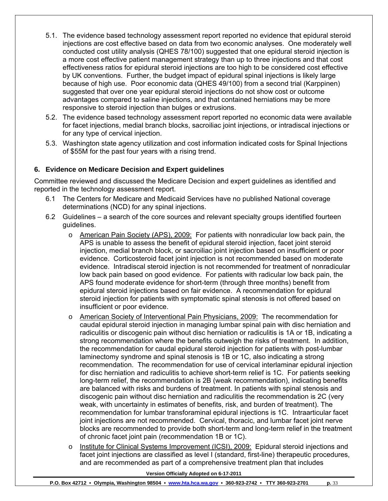- 5.1. The evidence based technology assessment report reported no evidence that epidural steroid injections are cost effective based on data from two economic analyses. One moderately well conducted cost utility analysis (QHES 78/100) suggested that one epidural steroid injection is a more cost effective patient management strategy than up to three injections and that cost effectiveness ratios for epidural steroid injections are too high to be considered cost effective by UK conventions. Further, the budget impact of epidural spinal injections is likely large because of high use. Poor economic data (QHES 49/100) from a second trial (Karppinen) suggested that over one year epidural steroid injections do not show cost or outcome advantages compared to saline injections, and that contained herniations may be more responsive to steroid injection than bulges or extrusions.
- 5.2. The evidence based technology assessment report reported no economic data were available for facet injections, medial branch blocks, sacroiliac joint injections, or intradiscal injections or for any type of cervical injection.
- 5.3. Washington state agency utilization and cost information indicated costs for Spinal Injections of \$55M for the past four years with a rising trend.

## **6. Evidence on Medicare Decision and Expert guidelines**

Committee reviewed and discussed the Medicare Decision and expert guidelines as identified and reported in the technology assessment report.

- 6.1 The Centers for Medicare and Medicaid Services have no published National coverage determinations (NCD) for any spinal injections.
- 6.2 Guidelines a search of the core sources and relevant specialty groups identified fourteen guidelines.
	- o American Pain Society (APS), 2009: For patients with nonradicular low back pain, the APS is unable to assess the benefit of epidural steroid injection, facet joint steroid injection, medial branch block, or sacroiliac joint injection based on insufficient or poor evidence. Corticosteroid facet joint injection is not recommended based on moderate evidence. Intradiscal steroid injection is not recommended for treatment of nonradicular low back pain based on good evidence. For patients with radicular low back pain, the APS found moderate evidence for short-term (through three months) benefit from epidural steroid injections based on fair evidence. A recommendation for epidural steroid injection for patients with symptomatic spinal stenosis is not offered based on insufficient or poor evidence.
	- o American Society of Interventional Pain Physicians, 2009: The recommendation for caudal epidural steroid injection in managing lumbar spinal pain with disc herniation and radiculitis or discogenic pain without disc herniation or radiculitis is 1A or 1B, indicating a strong recommendation where the benefits outweigh the risks of treatment. In addition, the recommendation for caudal epidural steroid injection for patients with post-lumbar laminectomy syndrome and spinal stenosis is 1B or 1C, also indicating a strong recommendation. The recommendation for use of cervical interlaminar epidural injection for disc herniation and radiculitis to achieve short-term relief is 1C. For patients seeking long-term relief, the recommendation is 2B (weak recommendation), indicating benefits are balanced with risks and burdens of treatment. In patients with spinal stenosis and discogenic pain without disc herniation and radiculitis the recommendation is 2C (very weak, with uncertainty in estimates of benefits, risk, and burden of treatment). The recommendation for lumbar transforaminal epidural injections is 1C. Intraarticular facet joint injections are not recommended. Cervical, thoracic, and lumbar facet joint nerve blocks are recommended to provide both short-term and long-term relief in the treatment of chronic facet joint pain (recommendation 1B or 1C).
	- o Institute for Clinical Systems Improvement (ICSI), 2009: Epidural steroid injections and facet joint injections are classified as level I (standard, first-line) therapeutic procedures, and are recommended as part of a comprehensive treatment plan that includes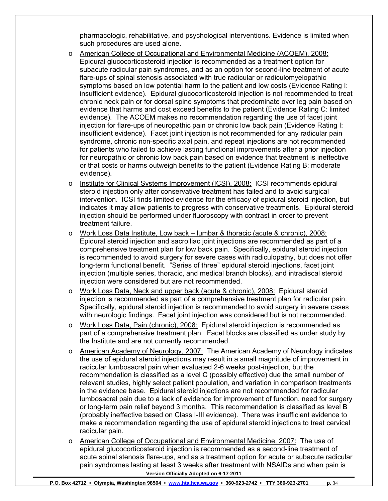pharmacologic, rehabilitative, and psychological interventions. Evidence is limited when such procedures are used alone.

- o American College of Occupational and Environmental Medicine (ACOEM), 2008: Epidural glucocorticosteroid injection is recommended as a treatment option for subacute radicular pain syndromes, and as an option for second-line treatment of acute flare-ups of spinal stenosis associated with true radicular or radiculomyelopathic symptoms based on low potential harm to the patient and low costs (Evidence Rating I: insufficient evidence). Epidural glucocorticosteroid injection is not recommended to treat chronic neck pain or for dorsal spine symptoms that predominate over leg pain based on evidence that harms and cost exceed benefits to the patient (Evidence Rating C: limited evidence). The ACOEM makes no recommendation regarding the use of facet joint injection for flare-ups of neuropathic pain or chronic low back pain (Evidence Rating I: insufficient evidence). Facet joint injection is not recommended for any radicular pain syndrome, chronic non-specific axial pain, and repeat injections are not recommended for patients who failed to achieve lasting functional improvements after a prior injection for neuropathic or chronic low back pain based on evidence that treatment is ineffective or that costs or harms outweigh benefits to the patient (Evidence Rating B: moderate evidence).
- o Institute for Clinical Systems Improvement (ICSI), 2008: ICSI recommends epidural steroid injection only after conservative treatment has failed and to avoid surgical intervention. ICSI finds limited evidence for the efficacy of epidural steroid injection, but indicates it may allow patients to progress with conservative treatments. Epidural steroid injection should be performed under fluoroscopy with contrast in order to prevent treatment failure.
- o Work Loss Data Institute, Low back lumbar & thoracic (acute & chronic), 2008: Epidural steroid injection and sacroiliac joint injections are recommended as part of a comprehensive treatment plan for low back pain. Specifically, epidural steroid injection is recommended to avoid surgery for severe cases with radiculopathy, but does not offer long-term functional benefit. "Series of three" epidural steroid injections, facet joint injection (multiple series, thoracic, and medical branch blocks), and intradiscal steroid injection were considered but are not recommended.
- o Work Loss Data, Neck and upper back (acute & chronic), 2008: Epidural steroid injection is recommended as part of a comprehensive treatment plan for radicular pain. Specifically, epidural steroid injection is recommended to avoid surgery in severe cases with neurologic findings. Facet joint injection was considered but is not recommended.
- o Work Loss Data, Pain (chronic), 2008: Epidural steroid injection is recommended as part of a comprehensive treatment plan. Facet blocks are classified as under study by the Institute and are not currently recommended.
- o American Academy of Neurology, 2007: The American Academy of Neurology indicates the use of epidural steroid injections may result in a small magnitude of improvement in radicular lumbosacral pain when evaluated 2-6 weeks post-injection, but the recommendation is classified as a level C (possibly effective) due the small number of relevant studies, highly select patient population, and variation in comparison treatments in the evidence base. Epidural steroid injections are not recommended for radicular lumbosacral pain due to a lack of evidence for improvement of function, need for surgery or long-term pain relief beyond 3 months. This recommendation is classified as level B (probably ineffective based on Class I-III evidence). There was insufficient evidence to make a recommendation regarding the use of epidural steroid injections to treat cervical radicular pain.
- **Version Officially Adopted on 6-17-2011**  o American College of Occupational and Environmental Medicine, 2007: The use of epidural glucocorticosteroid injection is recommended as a second-line treatment of acute spinal stenosis flare-ups, and as a treatment option for acute or subacute radicular pain syndromes lasting at least 3 weeks after treatment with NSAIDs and when pain is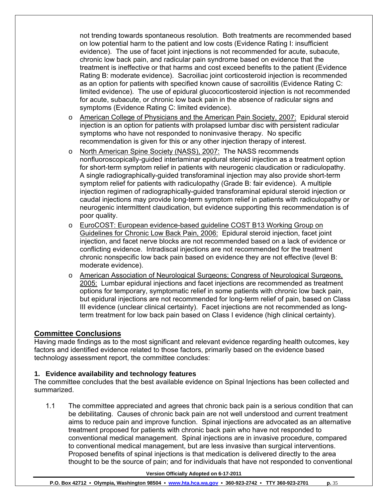not trending towards spontaneous resolution. Both treatments are recommended based on low potential harm to the patient and low costs (Evidence Rating I: insufficient evidence). The use of facet joint injections is not recommended for acute, subacute, chronic low back pain, and radicular pain syndrome based on evidence that the treatment is ineffective or that harms and cost exceed benefits to the patient (Evidence Rating B: moderate evidence). Sacroiliac joint corticosteroid injection is recommended as an option for patients with specified known cause of sacroilitis (Evidence Rating C: limited evidence). The use of epidural glucocorticosteroid injection is not recommended for acute, subacute, or chronic low back pain in the absence of radicular signs and symptoms (Evidence Rating C: limited evidence).

- o American College of Physicians and the American Pain Society, 2007: Epidural steroid injection is an option for patients with prolapsed lumbar disc with persistent radicular symptoms who have not responded to noninvasive therapy. No specific recommendation is given for this or any other injection therapy of interest.
- o North American Spine Society (NASS), 2007: The NASS recommends nonfluoroscopically-guided interlaminar epidural steroid injection as a treatment option for short-term symptom relief in patients with neurogenic claudication or radiculopathy. A single radiographically-guided transforaminal injection may also provide short-term symptom relief for patients with radiculopathy (Grade B: fair evidence). A multiple injection regimen of radiographically-guided transforaminal epidural steroid injection or caudal injections may provide long-term symptom relief in patients with radiculopathy or neurogenic intermittent claudication, but evidence supporting this recommendation is of poor quality.
- o EuroCOST: European evidence-based guideline COST B13 Working Group on Guidelines for Chronic Low Back Pain, 2006: Epidural steroid injection, facet joint injection, and facet nerve blocks are not recommended based on a lack of evidence or conflicting evidence. Intradiscal injections are not recommended for the treatment chronic nonspecific low back pain based on evidence they are not effective (level B: moderate evidence).
- o American Association of Neurological Surgeons; Congress of Neurological Surgeons, 2005: Lumbar epidural injections and facet injections are recommended as treatment options for temporary, symptomatic relief in some patients with chronic low back pain, but epidural injections are not recommended for long-term relief of pain, based on Class III evidence (unclear clinical certainty). Facet injections are not recommended as longterm treatment for low back pain based on Class I evidence (high clinical certainty).

# **Committee Conclusions**

Having made findings as to the most significant and relevant evidence regarding health outcomes, key factors and identified evidence related to those factors, primarily based on the evidence based technology assessment report, the committee concludes:

## **1. Evidence availability and technology features**

The committee concludes that the best available evidence on Spinal Injections has been collected and summarized.

1.1 The committee appreciated and agrees that chronic back pain is a serious condition that can be debilitating. Causes of chronic back pain are not well understood and current treatment aims to reduce pain and improve function. Spinal injections are advocated as an alternative treatment proposed for patients with chronic back pain who have not responded to conventional medical management. Spinal injections are in invasive procedure, compared to conventional medical management, but are less invasive than surgical interventions. Proposed benefits of spinal injections is that medication is delivered directly to the area thought to be the source of pain; and for individuals that have not responded to conventional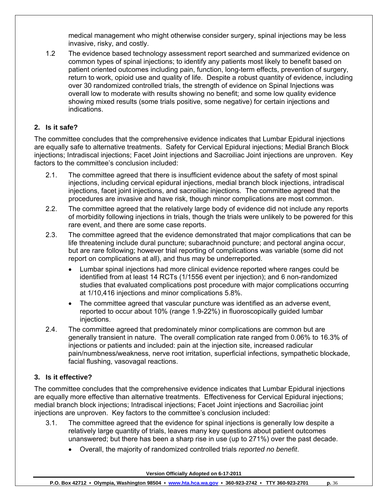medical management who might otherwise consider surgery, spinal injections may be less invasive, risky, and costly.

1.2 The evidence based technology assessment report searched and summarized evidence on common types of spinal injections; to identify any patients most likely to benefit based on patient oriented outcomes including pain, function, long-term effects, prevention of surgery, return to work, opioid use and quality of life. Despite a robust quantity of evidence, including over 30 randomized controlled trials, the strength of evidence on Spinal Injections was overall low to moderate with results showing no benefit; and some low quality evidence showing mixed results (some trials positive, some negative) for certain injections and indications.

# **2. Is it safe?**

The committee concludes that the comprehensive evidence indicates that Lumbar Epidural injections are equally safe to alternative treatments. Safety for Cervical Epidural injections; Medial Branch Block injections; Intradiscal injections; Facet Joint injections and Sacroiliac Joint injections are unproven. Key factors to the committee's conclusion included:

- 2.1. The committee agreed that there is insufficient evidence about the safety of most spinal injections, including cervical epidural injections, medial branch block injections, intradiscal injections, facet joint injections, and sacroiliac injections. The committee agreed that the procedures are invasive and have risk, though minor complications are most common.
- 2.2. The committee agreed that the relatively large body of evidence did not include any reports of morbidity following injections in trials, though the trials were unlikely to be powered for this rare event, and there are some case reports.
- 2.3. The committee agreed that the evidence demonstrated that major complications that can be life threatening include dural puncture; subarachnoid puncture; and pectoral angina occur, but are rare following; however trial reporting of complications was variable (some did not report on complications at all), and thus may be underreported.
	- Lumbar spinal injections had more clinical evidence reported where ranges could be identified from at least 14 RCTs (1/1556 event per injection); and 6 non-randomized studies that evaluated complications post procedure with major complications occurring at 1/10,416 injections and minor complications 5.8%.
	- The committee agreed that vascular puncture was identified as an adverse event, reported to occur about 10% (range 1.9-22%) in fluoroscopically guided lumbar injections.
- 2.4. The committee agreed that predominately minor complications are common but are generally transient in nature. The overall complication rate ranged from 0.06% to 16.3% of injections or patients and included: pain at the injection site, increased radicular pain/numbness/weakness, nerve root irritation, superficial infections, sympathetic blockade, facial flushing, vasovagal reactions.

## **3. Is it effective?**

The committee concludes that the comprehensive evidence indicates that Lumbar Epidural injections are equally more effective than alternative treatments. Effectiveness for Cervical Epidural injections; medial branch block injections; Intradiscal injections; Facet Joint injections and Sacroiliac joint injections are unproven. Key factors to the committee's conclusion included:

- 3.1. The committee agreed that the evidence for spinal injections is generally low despite a relatively large quantity of trials, leaves many key questions about patient outcomes unanswered; but there has been a sharp rise in use (up to 271%) over the past decade.
	- Overall, the majority of randomized controlled trials *reported no benefit*.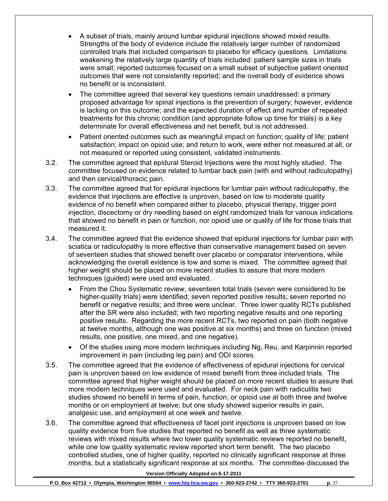- A subset of trials, mainly around lumbar epidural injections showed mixed results. Strengths of the body of evidence include the relatively larger number of randomized controlled trials that included comparison to placebo for efficacy questions. Limitations weakening the relatively large quantity of trials included: patient sample sizes in trials were small; reported outcomes focused on a small subset of subjective patient oriented outcomes that were not consistently reported; and the overall body of evidence shows no benefit or is inconsistent.
- The committee agreed that several key questions remain unaddressed: a primary proposed advantage for spinal injections is the prevention of surgery; however, evidence is lacking on this outcome; and the expected duration of effect and number of repeated treatments for this chronic condition (and appropriate follow up time for trials) is a key determinate for overall effectiveness and net benefit, but is not addressed.
- Patient oriented outcomes such as meaningful impact on function; quality of life; patient satisfaction; impact on opioid use; and return to work, were either not measured at all, or not measured or reported using consistent, validated instruments.
- 3.2. The committee agreed that epidural Steroid Injections were the most highly studied. The committee focused on evidence related to lumbar back pain (with and without radiculopathy) and then cervical/thoracic pain.
- 3.3. The committee agreed that for epidural injections for lumbar pain without radiculopathy, the evidence that injections are effective is unproven, based on low to moderate quality evidence of no benefit when compared either to placebo, physical therapy, trigger point injection, discectomy or dry needling based on eight randomized trials for various indications that showed no benefit in pain or function, nor opioid use or quality of life for those trials that measured it.
- 3.4. The committee agreed that the evidence showed that epidural injections for lumbar pain with sciatica or radiculopathy is more effective than conservative management based on seven of seventeen studies that showed benefit over placebo or comparator interventions, while acknowledging the overall evidence is low and some is mixed. The committee agreed that higher weight should be placed on more recent studies to assure that more modern techniques (guided) were used and evaluated.
	- From the Chou Systematic review, seventeen total trials (seven were considered to be higher-quality trials) were identified; seven reported positive results; seven reported no benefit or negative results; and three were unclear. Three lower quality RCTs published after the SR were also included; with two reporting negative results and one reporting positive results. Regarding the more recent RCTs, two reported on pain (both negative at twelve months, although one was positive at six months) and three on function (mixed results, one positive, one mixed, and one negative).
	- Of the studies using more modern techniques including Ng, Reu, and Karpinnin reported improvement in pain (including leg pain) and ODI scores.
- 3.5. The committee agreed that the evidence of effectiveness of epidural injections for cervical pain is unproven based on low evidence of mixed benefit from three included trials. The committee agreed that higher weight should be placed on more recent studies to assure that more modern techniques were used and evaluated. For neck pain with radiculitis two studies showed no benefit in terms of pain, function, or opioid use at both three and twelve months or on employment at twelve; but one study showed superior results in pain, analgesic use, and employment at one week and twelve.
- 3.6. The committee agreed that effectiveness of facet joint injections is unproven based on low quality evidence from five studies that reported no benefit as well as three systematic reviews with mixed results where two lower quality systematic reviews reported no benefit, while one low quality systematic review reported short term benefit. The two placebo controlled studies, one of higher quality, reported no clinically significant response at three months, but a statistically significant response at six months. The committee discussed the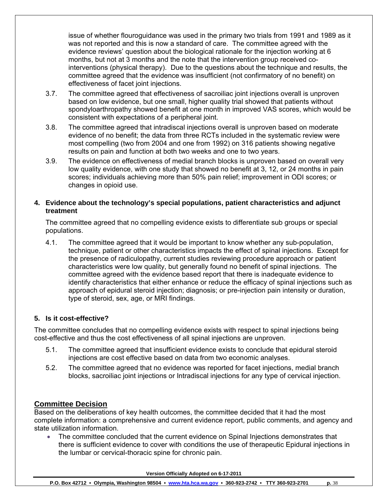issue of whether flouroguidance was used in the primary two trials from 1991 and 1989 as it was not reported and this is now a standard of care. The committee agreed with the evidence reviews' question about the biological rationale for the injection working at 6 months, but not at 3 months and the note that the intervention group received cointerventions (physical therapy). Due to the questions about the technique and results, the committee agreed that the evidence was insufficient (not confirmatory of no benefit) on effectiveness of facet joint injections.

- 3.7. The committee agreed that effectiveness of sacroiliac joint injections overall is unproven based on low evidence, but one small, higher quality trial showed that patients without spondyloarthropathy showed benefit at one month in improved VAS scores, which would be consistent with expectations of a peripheral joint.
- 3.8. The committee agreed that intradiscal injections overall is unproven based on moderate evidence of no benefit; the data from three RCTs included in the systematic review were most compelling (two from 2004 and one from 1992) on 316 patients showing negative results on pain and function at both two weeks and one to two years.
- 3.9. The evidence on effectiveness of medial branch blocks is unproven based on overall very low quality evidence, with one study that showed no benefit at 3, 12, or 24 months in pain scores; individuals achieving more than 50% pain relief; improvement in ODI scores; or changes in opioid use.

## **4. Evidence about the technology's special populations, patient characteristics and adjunct treatment**

The committee agreed that no compelling evidence exists to differentiate sub groups or special populations.

4.1. The committee agreed that it would be important to know whether any sub-population, technique, patient or other characteristics impacts the effect of spinal injections. Except for the presence of radiculopathy, current studies reviewing procedure approach or patient characteristics were low quality, but generally found no benefit of spinal injections. The committee agreed with the evidence based report that there is inadequate evidence to identify characteristics that either enhance or reduce the efficacy of spinal injections such as approach of epidural steroid injection; diagnosis; or pre-injection pain intensity or duration, type of steroid, sex, age, or MRI findings.

## **5. Is it cost-effective?**

The committee concludes that no compelling evidence exists with respect to spinal injections being cost-effective and thus the cost effectiveness of all spinal injections are unproven.

- 5.1. The committee agreed that insufficient evidence exists to conclude that epidural steroid injections are cost effective based on data from two economic analyses.
- 5.2. The committee agreed that no evidence was reported for facet injections, medial branch blocks, sacroiliac joint injections or Intradiscal injections for any type of cervical injection.

# **Committee Decision**

Based on the deliberations of key health outcomes, the committee decided that it had the most complete information: a comprehensive and current evidence report, public comments, and agency and state utilization information.

• The committee concluded that the current evidence on Spinal Injections demonstrates that there is sufficient evidence to cover with conditions the use of therapeutic Epidural injections in the lumbar or cervical-thoracic spine for chronic pain.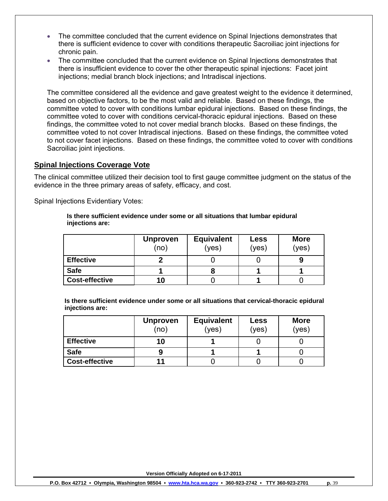- The committee concluded that the current evidence on Spinal Injections demonstrates that there is sufficient evidence to cover with conditions therapeutic Sacroiliac joint injections for chronic pain.
- The committee concluded that the current evidence on Spinal Injections demonstrates that there is insufficient evidence to cover the other therapeutic spinal injections: Facet joint injections; medial branch block injections; and Intradiscal injections.

The committee considered all the evidence and gave greatest weight to the evidence it determined, based on objective factors, to be the most valid and reliable. Based on these findings, the committee voted to cover with conditions lumbar epidural injections. Based on these findings, the committee voted to cover with conditions cervical-thoracic epidural injections. Based on these findings, the committee voted to not cover medial branch blocks. Based on these findings, the committee voted to not cover Intradiscal injections. Based on these findings, the committee voted to not cover facet injections. Based on these findings, the committee voted to cover with conditions Sacroiliac joint injections.

## **Spinal Injections Coverage Vote**

The clinical committee utilized their decision tool to first gauge committee judgment on the status of the evidence in the three primary areas of safety, efficacy, and cost.

Spinal Injections Evidentiary Votes:

**Is there sufficient evidence under some or all situations that lumbar epidural injections are:** 

|                       | <b>Unproven</b><br>(no) | <b>Equivalent</b><br>(yes) | <b>Less</b><br>(yes) | <b>More</b><br>(yes) |
|-----------------------|-------------------------|----------------------------|----------------------|----------------------|
| <b>Effective</b>      |                         |                            |                      |                      |
| <b>Safe</b>           |                         |                            |                      |                      |
| <b>Cost-effective</b> | 10                      |                            |                      |                      |

**Is there sufficient evidence under some or all situations that cervical-thoracic epidural injections are:** 

|                       | <b>Unproven</b><br>(no) | <b>Equivalent</b><br>(yes) | <b>Less</b><br>(yes) | <b>More</b><br>(yes) |
|-----------------------|-------------------------|----------------------------|----------------------|----------------------|
| <b>Effective</b>      | 10                      |                            |                      |                      |
| <b>Safe</b>           |                         |                            |                      |                      |
| <b>Cost-effective</b> | 11                      |                            |                      |                      |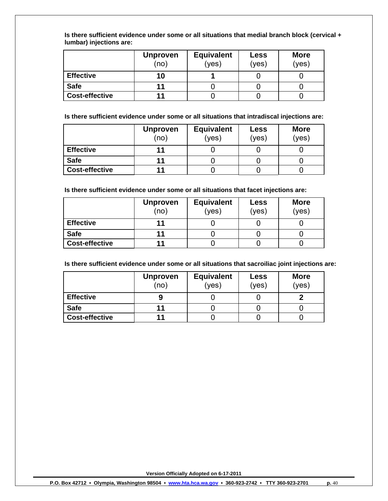**Is there sufficient evidence under some or all situations that medial branch block (cervical + lumbar) injections are:** 

|                       | <b>Unproven</b><br>(no) | <b>Equivalent</b><br>(yes) | <b>Less</b><br>(yes) | <b>More</b><br>(yes) |
|-----------------------|-------------------------|----------------------------|----------------------|----------------------|
| <b>Effective</b>      | 10                      |                            |                      |                      |
| <b>Safe</b>           |                         |                            |                      |                      |
| <b>Cost-effective</b> |                         |                            |                      |                      |

**Is there sufficient evidence under some or all situations that intradiscal injections are:** 

|                       | <b>Unproven</b><br>(no) | <b>Equivalent</b><br>(yes) | <b>Less</b><br>(yes) | <b>More</b><br>(yes) |
|-----------------------|-------------------------|----------------------------|----------------------|----------------------|
| <b>Effective</b>      |                         |                            |                      |                      |
| <b>Safe</b>           |                         |                            |                      |                      |
| <b>Cost-effective</b> |                         |                            |                      |                      |

**Is there sufficient evidence under some or all situations that facet injections are:** 

|                       | <b>Unproven</b><br>(no) | <b>Equivalent</b><br>(yes) | <b>Less</b><br>(yes) | <b>More</b><br>(yes) |
|-----------------------|-------------------------|----------------------------|----------------------|----------------------|
| <b>Effective</b>      | 11                      |                            |                      |                      |
| <b>Safe</b>           | 11                      |                            |                      |                      |
| <b>Cost-effective</b> |                         |                            |                      |                      |

**Is there sufficient evidence under some or all situations that sacroiliac joint injections are:** 

|                       | <b>Unproven</b><br>(no) | <b>Equivalent</b><br>(yes) | <b>Less</b><br>(yes) | <b>More</b><br>(yes) |
|-----------------------|-------------------------|----------------------------|----------------------|----------------------|
| <b>Effective</b>      |                         |                            |                      |                      |
| <b>Safe</b>           |                         |                            |                      |                      |
| <b>Cost-effective</b> |                         |                            |                      |                      |